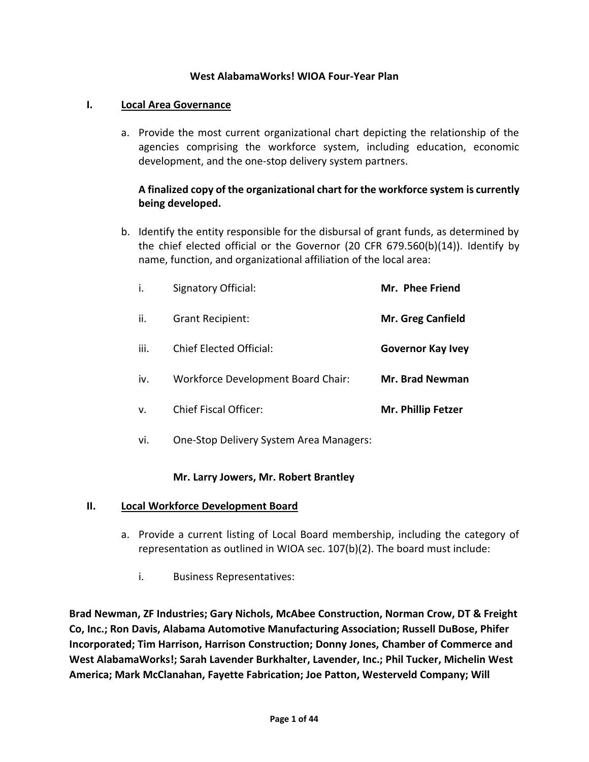#### **West AlabamaWorks! WIOA Four-Year Plan**

#### **I. Local Area Governance**

a. Provide the most current organizational chart depicting the relationship of the agencies comprising the workforce system, including education, economic development, and the one-stop delivery system partners.

## **A finalized copy of the organizational chart for the workforce system is currently being developed.**

b. Identify the entity responsible for the disbursal of grant funds, as determined by the chief elected official or the Governor (20 CFR 679.560(b)(14)). Identify by name, function, and organizational affiliation of the local area:

| i.          | Signatory Official:                       | Mr. Phee Friend          |
|-------------|-------------------------------------------|--------------------------|
| ii.         | <b>Grant Recipient:</b>                   | <b>Mr. Greg Canfield</b> |
| iii.        | Chief Elected Official:                   | <b>Governor Kay Ivey</b> |
| iv.         | <b>Workforce Development Board Chair:</b> | <b>Mr. Brad Newman</b>   |
| $V_{\cdot}$ | <b>Chief Fiscal Officer:</b>              | Mr. Phillip Fetzer       |

vi. One-Stop Delivery System Area Managers:

#### **Mr. Larry Jowers, Mr. Robert Brantley**

#### **II. Local Workforce Development Board**

- a. Provide a current listing of Local Board membership, including the category of representation as outlined in WIOA sec. 107(b)(2). The board must include:
	- i. Business Representatives:

**Brad Newman, ZF Industries; Gary Nichols, McAbee Construction, Norman Crow, DT & Freight Co, Inc.; Ron Davis, Alabama Automotive Manufacturing Association; Russell DuBose, Phifer Incorporated; Tim Harrison, Harrison Construction; Donny Jones, Chamber of Commerce and West AlabamaWorks!; Sarah Lavender Burkhalter, Lavender, Inc.; Phil Tucker, Michelin West America; Mark McClanahan, Fayette Fabrication; Joe Patton, Westerveld Company; Will**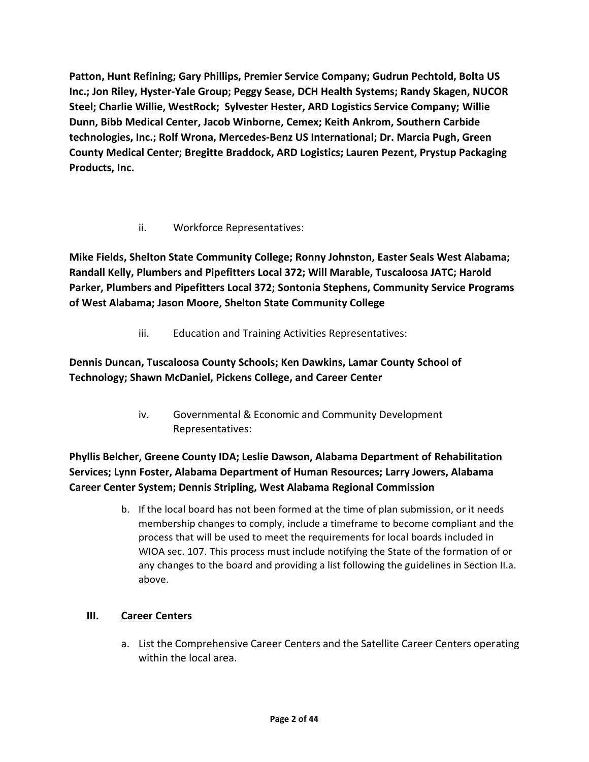**Patton, Hunt Refining; Gary Phillips, Premier Service Company; Gudrun Pechtold, Bolta US Inc.; Jon Riley, Hyster-Yale Group; Peggy Sease, DCH Health Systems; Randy Skagen, NUCOR Steel; Charlie Willie, WestRock; Sylvester Hester, ARD Logistics Service Company; Willie Dunn, Bibb Medical Center, Jacob Winborne, Cemex; Keith Ankrom, Southern Carbide technologies, Inc.; Rolf Wrona, Mercedes-Benz US International; Dr. Marcia Pugh, Green County Medical Center; Bregitte Braddock, ARD Logistics; Lauren Pezent, Prystup Packaging Products, Inc.**

## ii. Workforce Representatives:

**Mike Fields, Shelton State Community College; Ronny Johnston, Easter Seals West Alabama; Randall Kelly, Plumbers and Pipefitters Local 372; Will Marable, Tuscaloosa JATC; Harold Parker, Plumbers and Pipefitters Local 372; Sontonia Stephens, Community Service Programs of West Alabama; Jason Moore, Shelton State Community College**

iii. Education and Training Activities Representatives:

# **Dennis Duncan, Tuscaloosa County Schools; Ken Dawkins, Lamar County School of Technology; Shawn McDaniel, Pickens College, and Career Center**

iv. Governmental & Economic and Community Development Representatives:

# **Phyllis Belcher, Greene County IDA; Leslie Dawson, Alabama Department of Rehabilitation Services; Lynn Foster, Alabama Department of Human Resources; Larry Jowers, Alabama Career Center System; Dennis Stripling, West Alabama Regional Commission**

b. If the local board has not been formed at the time of plan submission, or it needs membership changes to comply, include a timeframe to become compliant and the process that will be used to meet the requirements for local boards included in WIOA sec. 107. This process must include notifying the State of the formation of or any changes to the board and providing a list following the guidelines in Section II.a. above.

## **III. Career Centers**

a. List the Comprehensive Career Centers and the Satellite Career Centers operating within the local area.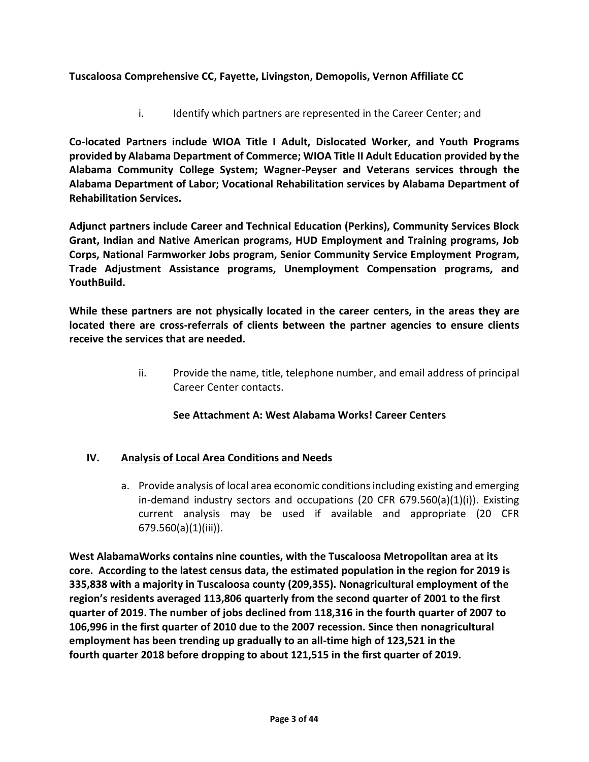## **Tuscaloosa Comprehensive CC, Fayette, Livingston, Demopolis, Vernon Affiliate CC**

i. Identify which partners are represented in the Career Center; and

**Co-located Partners include WIOA Title I Adult, Dislocated Worker, and Youth Programs provided by Alabama Department of Commerce; WIOA Title II Adult Education provided by the Alabama Community College System; Wagner-Peyser and Veterans services through the Alabama Department of Labor; Vocational Rehabilitation services by Alabama Department of Rehabilitation Services.**

**Adjunct partners include Career and Technical Education (Perkins), Community Services Block Grant, Indian and Native American programs, HUD Employment and Training programs, Job Corps, National Farmworker Jobs program, Senior Community Service Employment Program, Trade Adjustment Assistance programs, Unemployment Compensation programs, and YouthBuild.**

**While these partners are not physically located in the career centers, in the areas they are located there are cross-referrals of clients between the partner agencies to ensure clients receive the services that are needed.**

> ii. Provide the name, title, telephone number, and email address of principal Career Center contacts.

## **See Attachment A: West Alabama Works! Career Centers**

## **IV. Analysis of Local Area Conditions and Needs**

a. Provide analysis of local area economic conditions including existing and emerging in-demand industry sectors and occupations (20 CFR  $679.560(a)(1)(i)$ ). Existing current analysis may be used if available and appropriate (20 CFR 679.560(a)(1)(iii)).

**West AlabamaWorks contains nine counties, with the Tuscaloosa Metropolitan area at its core. According to the latest census data, the estimated population in the region for 2019 is 335,838 with a majority in Tuscaloosa county (209,355). Nonagricultural employment of the region's residents averaged 113,806 quarterly from the second quarter of 2001 to the first quarter of 2019. The number of jobs declined from 118,316 in the fourth quarter of 2007 to 106,996 in the first quarter of 2010 due to the 2007 recession. Since then nonagricultural employment has been trending up gradually to an all-time high of 123,521 in the fourth quarter 2018 before dropping to about 121,515 in the first quarter of 2019.**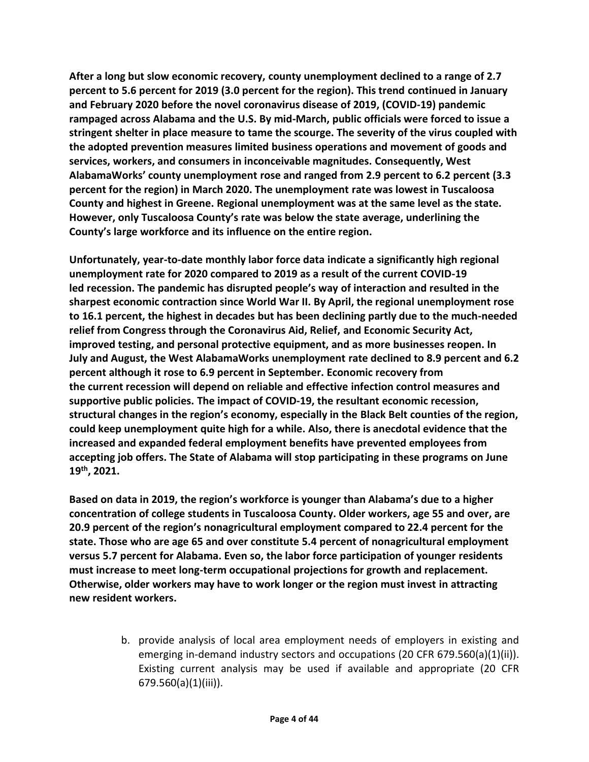**After a long but slow economic recovery, county unemployment declined to a range of 2.7 percent to 5.6 percent for 2019 (3.0 percent for the region). This trend continued in January and February 2020 before the novel coronavirus disease of 2019, (COVID-19) pandemic rampaged across Alabama and the U.S. By mid-March, public officials were forced to issue a stringent shelter in place measure to tame the scourge. The severity of the virus coupled with the adopted prevention measures limited business operations and movement of goods and services, workers, and consumers in inconceivable magnitudes. Consequently, West AlabamaWorks' county unemployment rose and ranged from 2.9 percent to 6.2 percent (3.3 percent for the region) in March 2020. The unemployment rate was lowest in Tuscaloosa County and highest in Greene. Regional unemployment was at the same level as the state. However, only Tuscaloosa County's rate was below the state average, underlining the County's large workforce and its influence on the entire region.**

**Unfortunately, year-to-date monthly labor force data indicate a significantly high regional unemployment rate for 2020 compared to 2019 as a result of the current COVID-19 led recession. The pandemic has disrupted people's way of interaction and resulted in the sharpest economic contraction since World War II. By April, the regional unemployment rose to 16.1 percent, the highest in decades but has been declining partly due to the much-needed relief from Congress through the Coronavirus Aid, Relief, and Economic Security Act, improved testing, and personal protective equipment, and as more businesses reopen. In July and August, the West AlabamaWorks unemployment rate declined to 8.9 percent and 6.2 percent although it rose to 6.9 percent in September. Economic recovery from the current recession will depend on reliable and effective infection control measures and supportive public policies. The impact of COVID-19, the resultant economic recession, structural changes in the region's economy, especially in the Black Belt counties of the region, could keep unemployment quite high for a while. Also, there is anecdotal evidence that the increased and expanded federal employment benefits have prevented employees from accepting job offers. The State of Alabama will stop participating in these programs on June 19th, 2021.** 

**Based on data in 2019, the region's workforce is younger than Alabama's due to a higher concentration of college students in Tuscaloosa County. Older workers, age 55 and over, are 20.9 percent of the region's nonagricultural employment compared to 22.4 percent for the state. Those who are age 65 and over constitute 5.4 percent of nonagricultural employment versus 5.7 percent for Alabama. Even so, the labor force participation of younger residents must increase to meet long-term occupational projections for growth and replacement. Otherwise, older workers may have to work longer or the region must invest in attracting new resident workers.**

> b. provide analysis of local area employment needs of employers in existing and emerging in-demand industry sectors and occupations (20 CFR 679.560(a)(1)(ii)). Existing current analysis may be used if available and appropriate (20 CFR 679.560(a)(1)(iii)).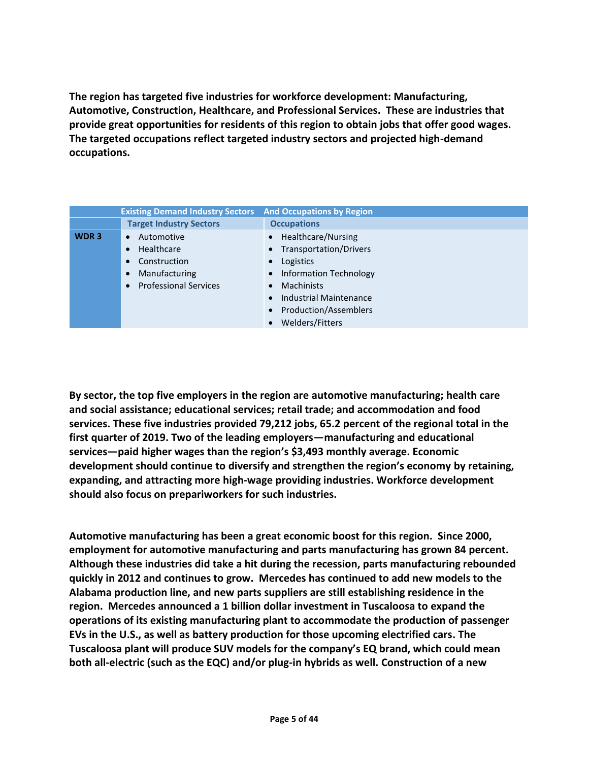**The region has targeted five industries for workforce development: Manufacturing, Automotive, Construction, Healthcare, and Professional Services. These are industries that provide great opportunities for residents of this region to obtain jobs that offer good wages. The targeted occupations reflect targeted industry sectors and projected high-demand occupations.**

|                  | <b>Existing Demand Industry Sectors</b>   | <b>And Occupations by Region</b>    |
|------------------|-------------------------------------------|-------------------------------------|
|                  | <b>Target Industry Sectors</b>            | <b>Occupations</b>                  |
| WDR <sub>3</sub> | Automotive<br>$\bullet$                   | • Healthcare/Nursing                |
|                  | Healthcare<br>$\bullet$                   | <b>Transportation/Drivers</b>       |
|                  | Construction<br>$\bullet$                 | Logistics                           |
|                  | Manufacturing<br>$\bullet$                | • Information Technology            |
|                  | <b>Professional Services</b><br>$\bullet$ | <b>Machinists</b>                   |
|                  |                                           | Industrial Maintenance              |
|                  |                                           | Production/Assemblers               |
|                  |                                           | <b>Welders/Fitters</b><br>$\bullet$ |

**By sector, the top five employers in the region are automotive manufacturing; health care and social assistance; educational services; retail trade; and accommodation and food services. These five industries provided 79,212 jobs, 65.2 percent of the regional total in the first quarter of 2019. Two of the leading employers—manufacturing and educational services—paid higher wages than the region's \$3,493 monthly average. Economic development should continue to diversify and strengthen the region's economy by retaining, expanding, and attracting more high-wage providing industries. Workforce development should also focus on prepariworkers for such industries.**

**Automotive manufacturing has been a great economic boost for this region. Since 2000, employment for automotive manufacturing and parts manufacturing has grown 84 percent. Although these industries did take a hit during the recession, parts manufacturing rebounded quickly in 2012 and continues to grow. Mercedes has continued to add new models to the Alabama production line, and new parts suppliers are still establishing residence in the region. Mercedes announced a 1 billion dollar investment in Tuscaloosa to expand the operations of its existing manufacturing plant to accommodate the production of passenger EVs in the U.S., as well as battery production for those upcoming electrified cars. The Tuscaloosa plant will produce SUV models for the company's EQ brand, which could mean both all-electric (such as the EQC) and/or plug-in hybrids as well. Construction of a new**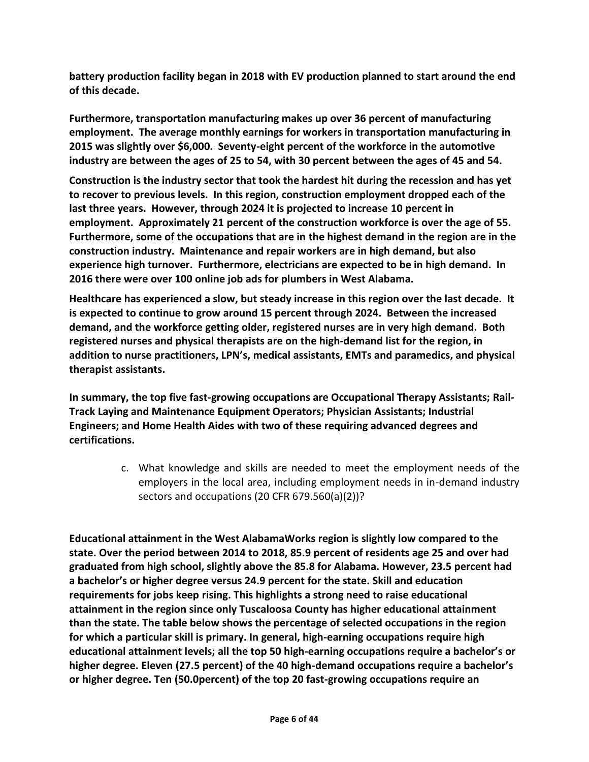**battery production facility began in 2018 with EV production planned to start around the end of this decade.**

**Furthermore, transportation manufacturing makes up over 36 percent of manufacturing employment. The average monthly earnings for workers in transportation manufacturing in 2015 was slightly over \$6,000. Seventy-eight percent of the workforce in the automotive industry are between the ages of 25 to 54, with 30 percent between the ages of 45 and 54.**

**Construction is the industry sector that took the hardest hit during the recession and has yet to recover to previous levels. In this region, construction employment dropped each of the last three years. However, through 2024 it is projected to increase 10 percent in employment. Approximately 21 percent of the construction workforce is over the age of 55. Furthermore, some of the occupations that are in the highest demand in the region are in the construction industry. Maintenance and repair workers are in high demand, but also experience high turnover. Furthermore, electricians are expected to be in high demand. In 2016 there were over 100 online job ads for plumbers in West Alabama.**

**Healthcare has experienced a slow, but steady increase in this region over the last decade. It is expected to continue to grow around 15 percent through 2024. Between the increased demand, and the workforce getting older, registered nurses are in very high demand. Both registered nurses and physical therapists are on the high-demand list for the region, in addition to nurse practitioners, LPN's, medical assistants, EMTs and paramedics, and physical therapist assistants.**

**In summary, the top five fast-growing occupations are Occupational Therapy Assistants; Rail-Track Laying and Maintenance Equipment Operators; Physician Assistants; Industrial Engineers; and Home Health Aides with two of these requiring advanced degrees and certifications.**

> c. What knowledge and skills are needed to meet the employment needs of the employers in the local area, including employment needs in in-demand industry sectors and occupations (20 CFR 679.560(a)(2))?

**Educational attainment in the West AlabamaWorks region is slightly low compared to the state. Over the period between 2014 to 2018, 85.9 percent of residents age 25 and over had graduated from high school, slightly above the 85.8 for Alabama. However, 23.5 percent had a bachelor's or higher degree versus 24.9 percent for the state. Skill and education requirements for jobs keep rising. This highlights a strong need to raise educational attainment in the region since only Tuscaloosa County has higher educational attainment than the state. The table below shows the percentage of selected occupations in the region for which a particular skill is primary. In general, high-earning occupations require high educational attainment levels; all the top 50 high-earning occupations require a bachelor's or higher degree. Eleven (27.5 percent) of the 40 high-demand occupations require a bachelor's or higher degree. Ten (50.0percent) of the top 20 fast-growing occupations require an**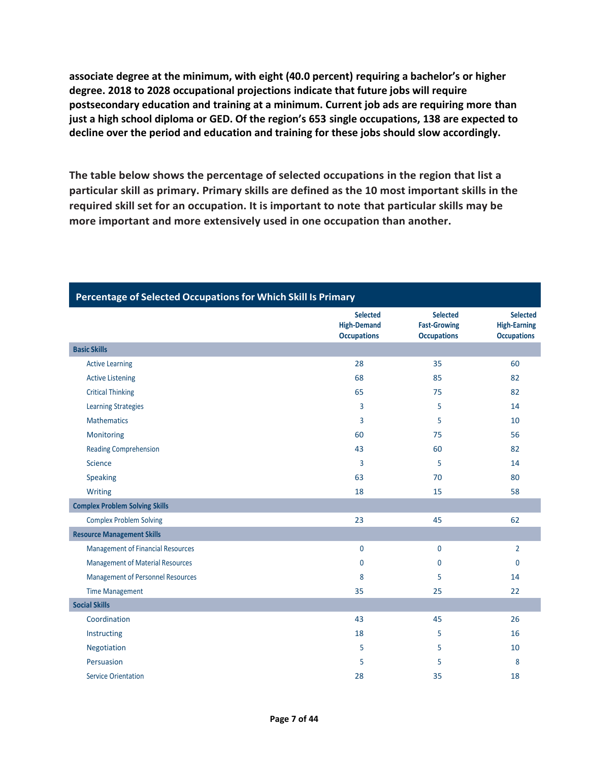**associate degree at the minimum, with eight (40.0 percent) requiring a bachelor's or higher degree. 2018 to 2028 occupational projections indicate that future jobs will require postsecondary education and training at a minimum. Current job ads are requiring more than just a high school diploma or GED. Of the region's 653 single occupations, 138 are expected to decline over the period and education and training for these jobs should slow accordingly.**

**The table below shows the percentage of selected occupations in the region that list a particular skill as primary. Primary skills are defined as the 10 most important skills in the required skill set for an occupation. It is important to note that particular skills may be more important and more extensively used in one occupation than another.** 

|                                          | <b>Selected</b><br><b>High-Demand</b><br><b>Occupations</b> | <b>Selected</b><br><b>Fast-Growing</b><br><b>Occupations</b> | <b>Selected</b><br><b>High-Earning</b><br><b>Occupations</b> |
|------------------------------------------|-------------------------------------------------------------|--------------------------------------------------------------|--------------------------------------------------------------|
| <b>Basic Skills</b>                      |                                                             |                                                              |                                                              |
| <b>Active Learning</b>                   | 28                                                          | 35                                                           | 60                                                           |
| <b>Active Listening</b>                  | 68                                                          | 85                                                           | 82                                                           |
| <b>Critical Thinking</b>                 | 65                                                          | 75                                                           | 82                                                           |
| <b>Learning Strategies</b>               | 3                                                           | 5                                                            | 14                                                           |
| <b>Mathematics</b>                       | 3                                                           | 5                                                            | 10                                                           |
| Monitoring                               | 60                                                          | 75                                                           | 56                                                           |
| <b>Reading Comprehension</b>             | 43                                                          | 60                                                           | 82                                                           |
| Science                                  | 3                                                           | 5                                                            | 14                                                           |
| Speaking                                 | 63                                                          | 70                                                           | 80                                                           |
| Writing                                  | 18                                                          | 15                                                           | 58                                                           |
| <b>Complex Problem Solving Skills</b>    |                                                             |                                                              |                                                              |
| <b>Complex Problem Solving</b>           | 23                                                          | 45                                                           | 62                                                           |
| <b>Resource Management Skills</b>        |                                                             |                                                              |                                                              |
| <b>Management of Financial Resources</b> | $\mathbf 0$                                                 | $\mathbf 0$                                                  | $\overline{2}$                                               |
| <b>Management of Material Resources</b>  | 0                                                           | 0                                                            | $\mathbf{0}$                                                 |
| Management of Personnel Resources        | 8                                                           | 5                                                            | 14                                                           |
| <b>Time Management</b>                   | 35                                                          | 25                                                           | 22                                                           |
| <b>Social Skills</b>                     |                                                             |                                                              |                                                              |
| Coordination                             | 43                                                          | 45                                                           | 26                                                           |
| Instructing                              | 18                                                          | 5                                                            | 16                                                           |
| Negotiation                              | 5                                                           | 5                                                            | 10                                                           |
| Persuasion                               | 5                                                           | 5                                                            | 8                                                            |
| <b>Service Orientation</b>               | 28                                                          | 35                                                           | 18                                                           |

#### **Percentage of Selected Occupationsfor Which Skill Is Primary**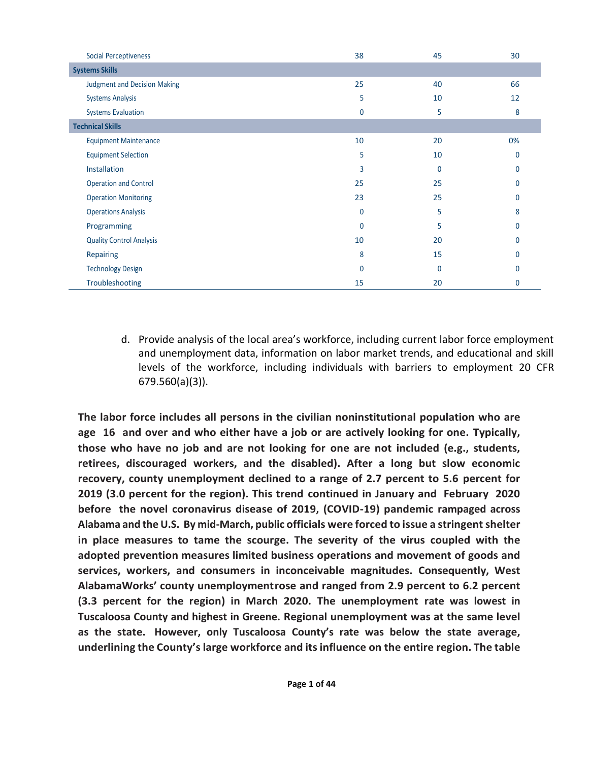| <b>Social Perceptiveness</b>        | 38          | 45           | 30       |
|-------------------------------------|-------------|--------------|----------|
| <b>Systems Skills</b>               |             |              |          |
| <b>Judgment and Decision Making</b> | 25          | 40           | 66       |
| <b>Systems Analysis</b>             | 5           | 10           | 12       |
| <b>Systems Evaluation</b>           | 0           | 5            | 8        |
| <b>Technical Skills</b>             |             |              |          |
| <b>Equipment Maintenance</b>        | 10          | 20           | 0%       |
| <b>Equipment Selection</b>          | 5           | 10           | 0        |
| Installation                        | 3           | 0            | $\Omega$ |
| <b>Operation and Control</b>        | 25          | 25           | 0        |
| <b>Operation Monitoring</b>         | 23          | 25           | $\Omega$ |
| <b>Operations Analysis</b>          | $\mathbf 0$ | 5            | 8        |
| Programming                         | 0           | 5            | $\Omega$ |
| <b>Quality Control Analysis</b>     | 10          | 20           | $\Omega$ |
| Repairing                           | 8           | 15           | $\Omega$ |
| <b>Technology Design</b>            | $\mathbf 0$ | $\mathbf{0}$ | $\Omega$ |
| Troubleshooting                     | 15          | 20           | $\Omega$ |

d. Provide analysis of the local area's workforce, including current labor force employment and unemployment data, information on labor market trends, and educational and skill levels of the workforce, including individuals with barriers to employment 20 CFR 679.560(a)(3)).

**The labor force includes all persons in the civilian noninstitutional population who are age 16 and over and who either have a job or are actively looking for one. Typically, those who have no job and are not looking for one are not included (e.g., students, retirees, discouraged workers, and the disabled). After a long but slow economic recovery, county unemployment declined to a range of 2.7 percent to 5.6 percent for 2019 (3.0 percent for the region). This trend continued in January and February 2020 before the novel coronavirus disease of 2019, (COVID-19) pandemic rampaged across Alabama and the U.S. By mid-March, public officials were forced to issue a stringentshelter in place measures to tame the scourge. The severity of the virus coupled with the adopted prevention measures limited business operations and movement of goods and services, workers, and consumers in inconceivable magnitudes. Consequently, West AlabamaWorks' county unemploymentrose and ranged from 2.9 percent to 6.2 percent (3.3 percent for the region) in March 2020. The unemployment rate was lowest in Tuscaloosa County and highest in Greene. Regional unemployment was at the same level as the state. However, only Tuscaloosa County's rate was below the state average, underlining the County's large workforce and itsinfluence on the entire region. The table**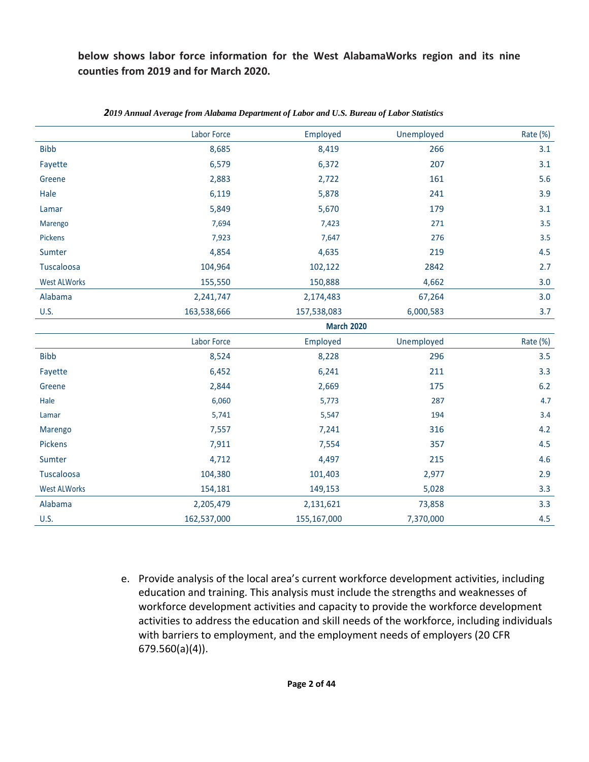**below shows labor force information for the West AlabamaWorks region and its nine counties from 2019 and for March 2020.**

|                     | Labor Force | Employed          | Unemployed | Rate (%) |
|---------------------|-------------|-------------------|------------|----------|
| <b>Bibb</b>         | 8,685       | 8,419             | 266        | 3.1      |
| Fayette             | 6,579       | 6,372             | 207        | 3.1      |
| Greene              | 2,883       | 2,722             | 161        | 5.6      |
| Hale                | 6,119       | 5,878             | 241        | 3.9      |
| Lamar               | 5,849       | 5,670             | 179        | 3.1      |
| Marengo             | 7,694       | 7,423             | 271        | 3.5      |
| Pickens             | 7,923       | 7,647             | 276        | 3.5      |
| Sumter              | 4,854       | 4,635             | 219        | 4.5      |
| Tuscaloosa          | 104,964     | 102,122           | 2842       | 2.7      |
| <b>West ALWorks</b> | 155,550     | 150,888           | 4,662      | 3.0      |
| Alabama             | 2,241,747   | 2,174,483         | 67,264     | 3.0      |
| <b>U.S.</b>         | 163,538,666 | 157,538,083       | 6,000,583  | 3.7      |
|                     |             | <b>March 2020</b> |            |          |
|                     | Labor Force | Employed          | Unemployed | Rate (%) |
| <b>Bibb</b>         | 8,524       | 8,228             | 296        | 3.5      |
| Fayette             | 6,452       | 6,241             | 211        | 3.3      |
| Greene              | 2,844       | 2,669             | 175        | $6.2$    |
| Hale                | 6,060       | 5,773             | 287        | 4.7      |
| Lamar               | 5,741       | 5,547             | 194        | 3.4      |
| Marengo             | 7,557       | 7,241             | 316        | 4.2      |
| Pickens             | 7,911       | 7,554             | 357        | 4.5      |
| Sumter              | 4,712       | 4,497             | 215        | 4.6      |
| Tuscaloosa          | 104,380     | 101,403           | 2,977      | 2.9      |
| <b>West ALWorks</b> | 154,181     | 149,153           | 5,028      | 3.3      |
| Alabama             | 2,205,479   | 2,131,621         | 73,858     | 3.3      |
| <b>U.S.</b>         | 162,537,000 | 155,167,000       | 7,370,000  | 4.5      |

#### *2019 Annual Average from Alabama Department of Labor and U.S. Bureau of Labor Statistics*

e. Provide analysis of the local area's current workforce development activities, including education and training. This analysis must include the strengths and weaknesses of workforce development activities and capacity to provide the workforce development activities to address the education and skill needs of the workforce, including individuals with barriers to employment, and the employment needs of employers (20 CFR 679.560(a)(4)).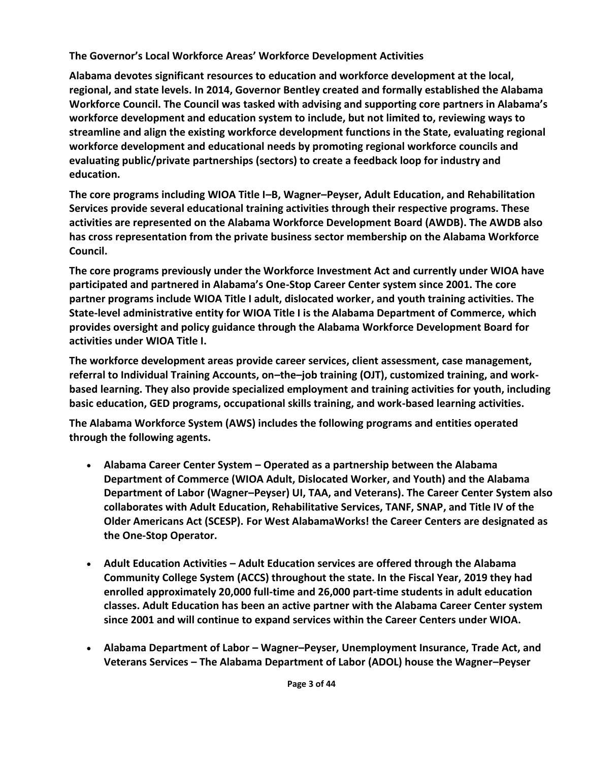**The Governor's Local Workforce Areas' Workforce Development Activities**

**Alabama devotes significant resources to education and workforce development at the local, regional, and state levels. In 2014, Governor Bentley created and formally established the Alabama Workforce Council. The Council was tasked with advising and supporting core partners in Alabama's workforce development and education system to include, but not limited to, reviewing ways to streamline and align the existing workforce development functions in the State, evaluating regional workforce development and educational needs by promoting regional workforce councils and evaluating public/private partnerships (sectors) to create a feedback loop for industry and education.**

**The core programs including WIOA Title I–B, Wagner–Peyser, Adult Education, and Rehabilitation Services provide several educational training activities through their respective programs. These activities are represented on the Alabama Workforce Development Board (AWDB). The AWDB also has cross representation from the private business sector membership on the Alabama Workforce Council.**

**The core programs previously under the Workforce Investment Act and currently under WIOA have participated and partnered in Alabama's One-Stop Career Center system since 2001. The core partner programs include WIOA Title I adult, dislocated worker, and youth training activities. The State-level administrative entity for WIOA Title I is the Alabama Department of Commerce, which provides oversight and policy guidance through the Alabama Workforce Development Board for activities under WIOA Title I.**

**The workforce development areas provide career services, client assessment, case management, referral to Individual Training Accounts, on–the–job training (OJT), customized training, and workbased learning. They also provide specialized employment and training activities for youth, including basic education, GED programs, occupational skills training, and work-based learning activities.**

**The Alabama Workforce System (AWS) includes the following programs and entities operated through the following agents.**

- **Alabama Career Center System – Operated as a partnership between the Alabama Department of Commerce (WIOA Adult, Dislocated Worker, and Youth) and the Alabama Department of Labor (Wagner–Peyser) UI, TAA, and Veterans). The Career Center System also collaborates with Adult Education, Rehabilitative Services, TANF, SNAP, and Title IV of the Older Americans Act (SCESP). For West AlabamaWorks! the Career Centers are designated as the One-Stop Operator.**
- **Adult Education Activities – Adult Education services are offered through the Alabama Community College System (ACCS) throughout the state. In the Fiscal Year, 2019 they had enrolled approximately 20,000 full-time and 26,000 part-time students in adult education classes. Adult Education has been an active partner with the Alabama Career Center system since 2001 and will continue to expand services within the Career Centers under WIOA.**
- **Alabama Department of Labor – Wagner–Peyser, Unemployment Insurance, Trade Act, and Veterans Services – The Alabama Department of Labor (ADOL) house the Wagner–Peyser**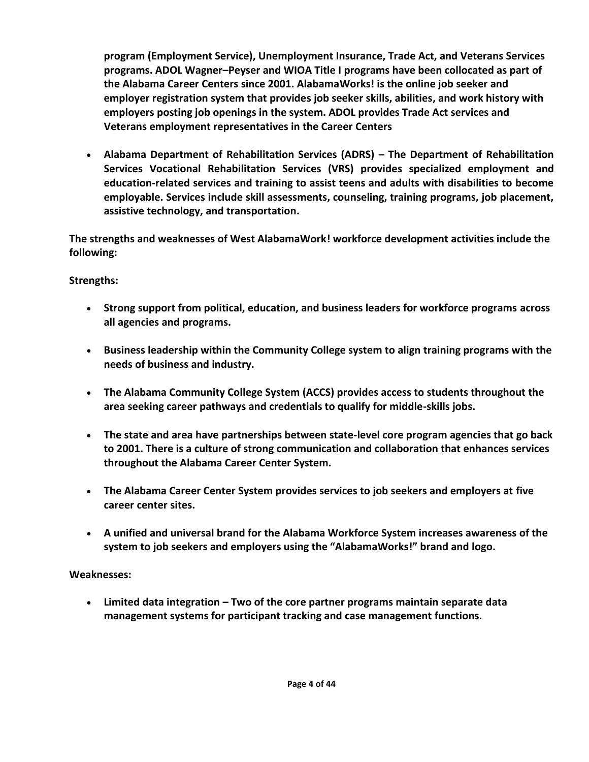**program (Employment Service), Unemployment Insurance, Trade Act, and Veterans Services programs. ADOL Wagner–Peyser and WIOA Title I programs have been collocated as part of the Alabama Career Centers since 2001. AlabamaWorks! is the online job seeker and employer registration system that provides job seeker skills, abilities, and work history with employers posting job openings in the system. ADOL provides Trade Act services and Veterans employment representatives in the Career Centers**

• **Alabama Department of Rehabilitation Services (ADRS) – The Department of Rehabilitation Services Vocational Rehabilitation Services (VRS) provides specialized employment and education-related services and training to assist teens and adults with disabilities to become employable. Services include skill assessments, counseling, training programs, job placement, assistive technology, and transportation.** 

**The strengths and weaknesses of West AlabamaWork! workforce development activities include the following:**

## **Strengths:**

- **Strong support from political, education, and business leaders for workforce programs across all agencies and programs.**
- **Business leadership within the Community College system to align training programs with the needs of business and industry.**
- **The Alabama Community College System (ACCS) provides access to students throughout the area seeking career pathways and credentials to qualify for middle-skills jobs.**
- **The state and area have partnerships between state-level core program agencies that go back to 2001. There is a culture of strong communication and collaboration that enhances services throughout the Alabama Career Center System.**
- **The Alabama Career Center System provides services to job seekers and employers at five career center sites.**
- **A unified and universal brand for the Alabama Workforce System increases awareness of the system to job seekers and employers using the "AlabamaWorks!" brand and logo.**

## **Weaknesses:**

• **Limited data integration – Two of the core partner programs maintain separate data management systems for participant tracking and case management functions.**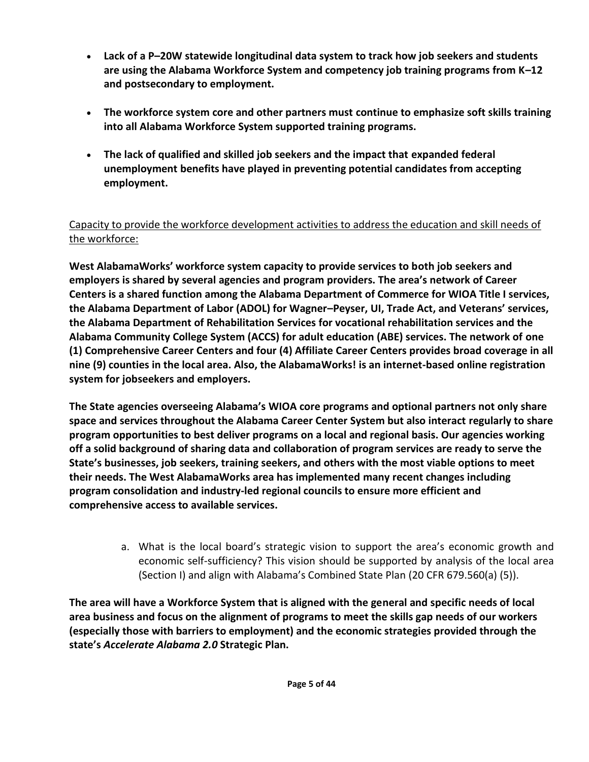- **Lack of a P–20W statewide longitudinal data system to track how job seekers and students are using the Alabama Workforce System and competency job training programs from K–12 and postsecondary to employment.**
- **The workforce system core and other partners must continue to emphasize soft skills training into all Alabama Workforce System supported training programs.**
- **The lack of qualified and skilled job seekers and the impact that expanded federal unemployment benefits have played in preventing potential candidates from accepting employment.**

# Capacity to provide the workforce development activities to address the education and skill needs of the workforce:

**West AlabamaWorks' workforce system capacity to provide services to both job seekers and employers is shared by several agencies and program providers. The area's network of Career Centers is a shared function among the Alabama Department of Commerce for WIOA Title I services, the Alabama Department of Labor (ADOL) for Wagner–Peyser, UI, Trade Act, and Veterans' services, the Alabama Department of Rehabilitation Services for vocational rehabilitation services and the Alabama Community College System (ACCS) for adult education (ABE) services. The network of one (1) Comprehensive Career Centers and four (4) Affiliate Career Centers provides broad coverage in all nine (9) counties in the local area. Also, the AlabamaWorks! is an internet-based online registration system for jobseekers and employers.**

**The State agencies overseeing Alabama's WIOA core programs and optional partners not only share space and services throughout the Alabama Career Center System but also interact regularly to share program opportunities to best deliver programs on a local and regional basis. Our agencies working off a solid background of sharing data and collaboration of program services are ready to serve the State's businesses, job seekers, training seekers, and others with the most viable options to meet their needs. The West AlabamaWorks area has implemented many recent changes including program consolidation and industry-led regional councils to ensure more efficient and comprehensive access to available services.**

> a. What is the local board's strategic vision to support the area's economic growth and economic self-sufficiency? This vision should be supported by analysis of the local area (Section I) and align with Alabama's Combined State Plan (20 CFR 679.560(a) (5)).

**The area will have a Workforce System that is aligned with the general and specific needs of local area business and focus on the alignment of programs to meet the skills gap needs of our workers (especially those with barriers to employment) and the economic strategies provided through the state's** *Accelerate Alabama 2.0* **Strategic Plan.**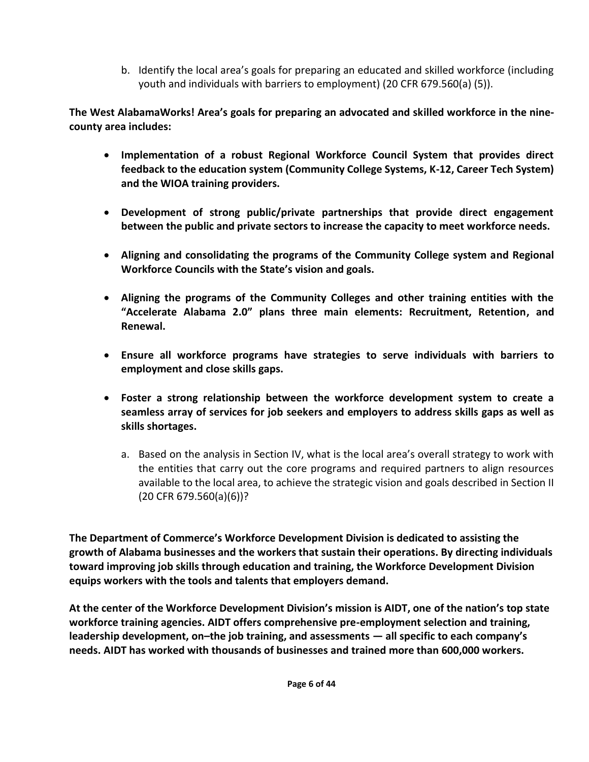b. Identify the local area's goals for preparing an educated and skilled workforce (including youth and individuals with barriers to employment) (20 CFR 679.560(a) (5)).

**The West AlabamaWorks! Area's goals for preparing an advocated and skilled workforce in the ninecounty area includes:**

- **Implementation of a robust Regional Workforce Council System that provides direct feedback to the education system (Community College Systems, K-12, Career Tech System) and the WIOA training providers.**
- **Development of strong public/private partnerships that provide direct engagement between the public and private sectors to increase the capacity to meet workforce needs.**
- **Aligning and consolidating the programs of the Community College system and Regional Workforce Councils with the State's vision and goals.**
- **Aligning the programs of the Community Colleges and other training entities with the "Accelerate Alabama 2.0" plans three main elements: Recruitment, Retention, and Renewal.**
- **Ensure all workforce programs have strategies to serve individuals with barriers to employment and close skills gaps.**
- **Foster a strong relationship between the workforce development system to create a seamless array of services for job seekers and employers to address skills gaps as well as skills shortages.**
	- a. Based on the analysis in Section IV, what is the local area's overall strategy to work with the entities that carry out the core programs and required partners to align resources available to the local area, to achieve the strategic vision and goals described in Section II (20 CFR 679.560(a)(6))?

**The Department of Commerce's Workforce Development Division is dedicated to assisting the growth of Alabama businesses and the workers that sustain their operations. By directing individuals toward improving job skills through education and training, the Workforce Development Division equips workers with the tools and talents that employers demand.**

**At the center of the Workforce Development Division's mission is AIDT, one of the nation's top state workforce training agencies. AIDT offers comprehensive pre-employment selection and training, leadership development, on–the job training, and assessments — all specific to each company's needs. AIDT has worked with thousands of businesses and trained more than 600,000 workers.**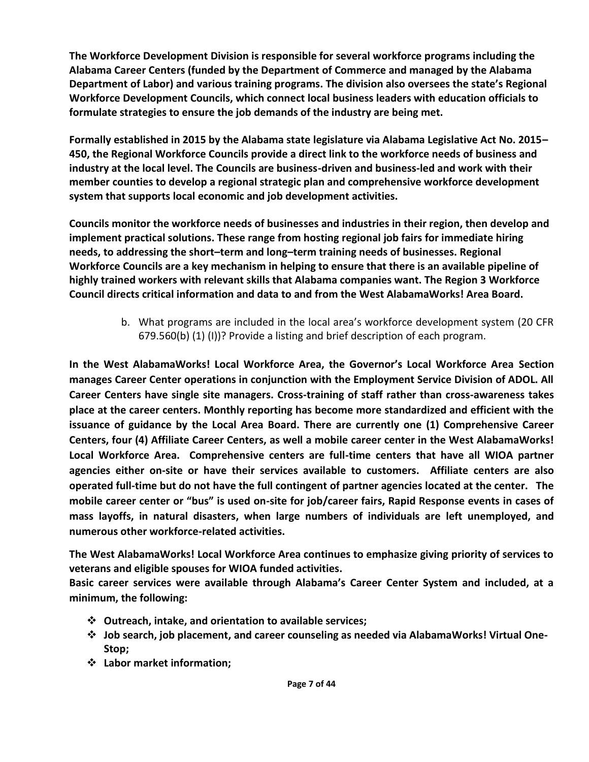**The Workforce Development Division is responsible for several workforce programs including the Alabama Career Centers (funded by the Department of Commerce and managed by the Alabama Department of Labor) and various training programs. The division also oversees the state's Regional Workforce Development Councils, which connect local business leaders with education officials to formulate strategies to ensure the job demands of the industry are being met.**

**Formally established in 2015 by the Alabama state legislature via Alabama Legislative Act No. 2015– 450, the Regional Workforce Councils provide a direct link to the workforce needs of business and industry at the local level. The Councils are business-driven and business-led and work with their member counties to develop a regional strategic plan and comprehensive workforce development system that supports local economic and job development activities.**

**Councils monitor the workforce needs of businesses and industries in their region, then develop and implement practical solutions. These range from hosting regional job fairs for immediate hiring needs, to addressing the short–term and long–term training needs of businesses. Regional Workforce Councils are a key mechanism in helping to ensure that there is an available pipeline of highly trained workers with relevant skills that Alabama companies want. The Region 3 Workforce Council directs critical information and data to and from the West AlabamaWorks! Area Board.**

> b. What programs are included in the local area's workforce development system (20 CFR 679.560(b) (1) (I))? Provide a listing and brief description of each program.

**In the West AlabamaWorks! Local Workforce Area, the Governor's Local Workforce Area Section manages Career Center operations in conjunction with the Employment Service Division of ADOL. All Career Centers have single site managers. Cross-training of staff rather than cross-awareness takes place at the career centers. Monthly reporting has become more standardized and efficient with the issuance of guidance by the Local Area Board. There are currently one (1) Comprehensive Career Centers, four (4) Affiliate Career Centers, as well a mobile career center in the West AlabamaWorks! Local Workforce Area. Comprehensive centers are full-time centers that have all WIOA partner agencies either on-site or have their services available to customers. Affiliate centers are also operated full-time but do not have the full contingent of partner agencies located at the center. The mobile career center or "bus" is used on-site for job/career fairs, Rapid Response events in cases of mass layoffs, in natural disasters, when large numbers of individuals are left unemployed, and numerous other workforce-related activities.**

**The West AlabamaWorks! Local Workforce Area continues to emphasize giving priority of services to veterans and eligible spouses for WIOA funded activities.** 

**Basic career services were available through Alabama's Career Center System and included, at a minimum, the following:**

- ❖ **Outreach, intake, and orientation to available services;**
- ❖ **Job search, job placement, and career counseling as needed via AlabamaWorks! Virtual One-Stop;**
- ❖ **Labor market information;**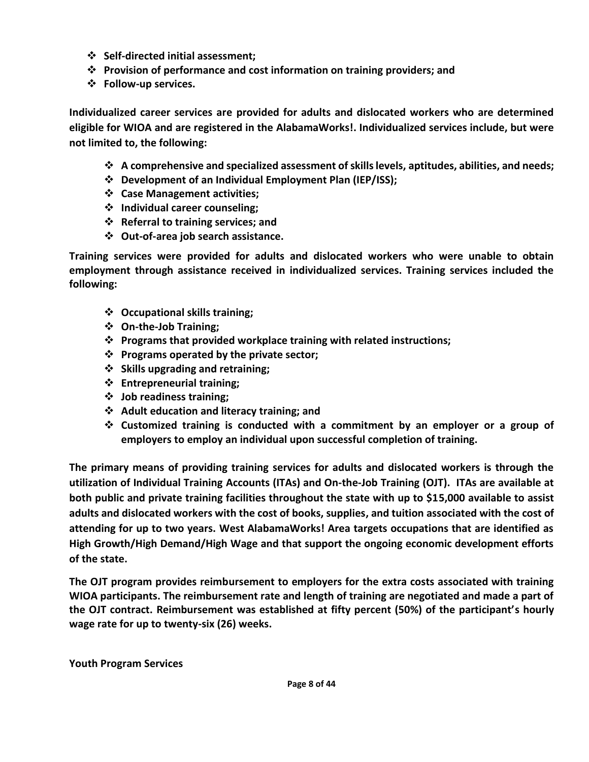- ❖ **Self-directed initial assessment;**
- ❖ **Provision of performance and cost information on training providers; and**
- ❖ **Follow-up services.**

**Individualized career services are provided for adults and dislocated workers who are determined eligible for WIOA and are registered in the AlabamaWorks!. Individualized services include, but were not limited to, the following:**

- ❖ **A comprehensive and specialized assessment of skills levels, aptitudes, abilities, and needs;**
- ❖ **Development of an Individual Employment Plan (IEP/ISS);**
- ❖ **Case Management activities;**
- ❖ **Individual career counseling;**
- ❖ **Referral to training services; and**
- ❖ **Out-of-area job search assistance.**

**Training services were provided for adults and dislocated workers who were unable to obtain employment through assistance received in individualized services. Training services included the following:**

- ❖ **Occupational skills training;**
- ❖ **On-the-Job Training;**
- ❖ **Programs that provided workplace training with related instructions;**
- ❖ **Programs operated by the private sector;**
- ❖ **Skills upgrading and retraining;**
- ❖ **Entrepreneurial training;**
- ❖ **Job readiness training;**
- ❖ **Adult education and literacy training; and**
- ❖ **Customized training is conducted with a commitment by an employer or a group of employers to employ an individual upon successful completion of training.**

**The primary means of providing training services for adults and dislocated workers is through the utilization of Individual Training Accounts (ITAs) and On-the-Job Training (OJT). ITAs are available at both public and private training facilities throughout the state with up to \$15,000 available to assist adults and dislocated workers with the cost of books, supplies, and tuition associated with the cost of attending for up to two years. West AlabamaWorks! Area targets occupations that are identified as High Growth/High Demand/High Wage and that support the ongoing economic development efforts of the state.**

**The OJT program provides reimbursement to employers for the extra costs associated with training WIOA participants. The reimbursement rate and length of training are negotiated and made a part of the OJT contract. Reimbursement was established at fifty percent (50%) of the participant's hourly wage rate for up to twenty-six (26) weeks.**

**Youth Program Services**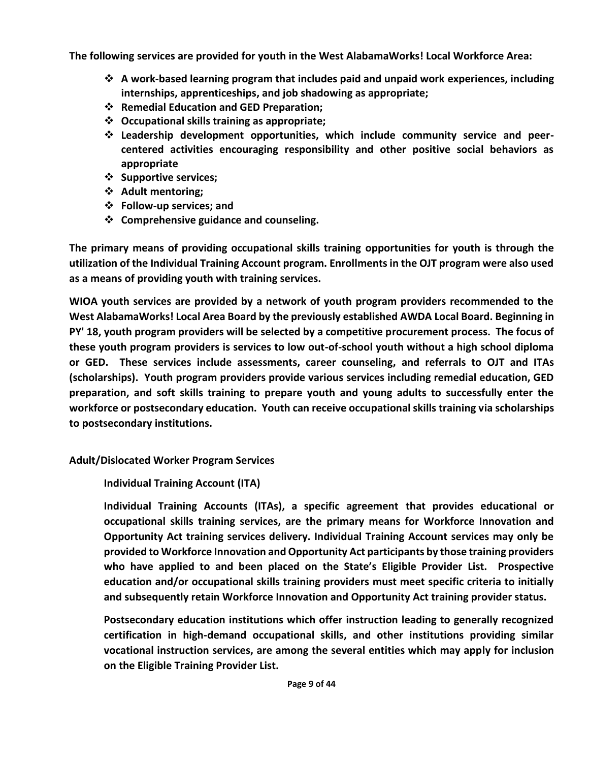**The following services are provided for youth in the West AlabamaWorks! Local Workforce Area:**

- ❖ **A work-based learning program that includes paid and unpaid work experiences, including internships, apprenticeships, and job shadowing as appropriate;**
- ❖ **Remedial Education and GED Preparation;**
- ❖ **Occupational skills training as appropriate;**
- ❖ **Leadership development opportunities, which include community service and peercentered activities encouraging responsibility and other positive social behaviors as appropriate**
- ❖ **Supportive services;**
- ❖ **Adult mentoring;**
- ❖ **Follow-up services; and**
- ❖ **Comprehensive guidance and counseling.**

**The primary means of providing occupational skills training opportunities for youth is through the utilization of the Individual Training Account program. Enrollments in the OJT program were also used as a means of providing youth with training services.**

**WIOA youth services are provided by a network of youth program providers recommended to the West AlabamaWorks! Local Area Board by the previously established AWDA Local Board. Beginning in PY' 18, youth program providers will be selected by a competitive procurement process. The focus of these youth program providers is services to low out-of-school youth without a high school diploma or GED. These services include assessments, career counseling, and referrals to OJT and ITAs (scholarships). Youth program providers provide various services including remedial education, GED preparation, and soft skills training to prepare youth and young adults to successfully enter the workforce or postsecondary education. Youth can receive occupational skills training via scholarships to postsecondary institutions.**

## **Adult/Dislocated Worker Program Services**

**Individual Training Account (ITA)**

**Individual Training Accounts (ITAs), a specific agreement that provides educational or occupational skills training services, are the primary means for Workforce Innovation and Opportunity Act training services delivery. Individual Training Account services may only be provided to Workforce Innovation and Opportunity Act participants by those training providers who have applied to and been placed on the State's Eligible Provider List. Prospective education and/or occupational skills training providers must meet specific criteria to initially and subsequently retain Workforce Innovation and Opportunity Act training provider status.**

**Postsecondary education institutions which offer instruction leading to generally recognized certification in high-demand occupational skills, and other institutions providing similar vocational instruction services, are among the several entities which may apply for inclusion on the Eligible Training Provider List.**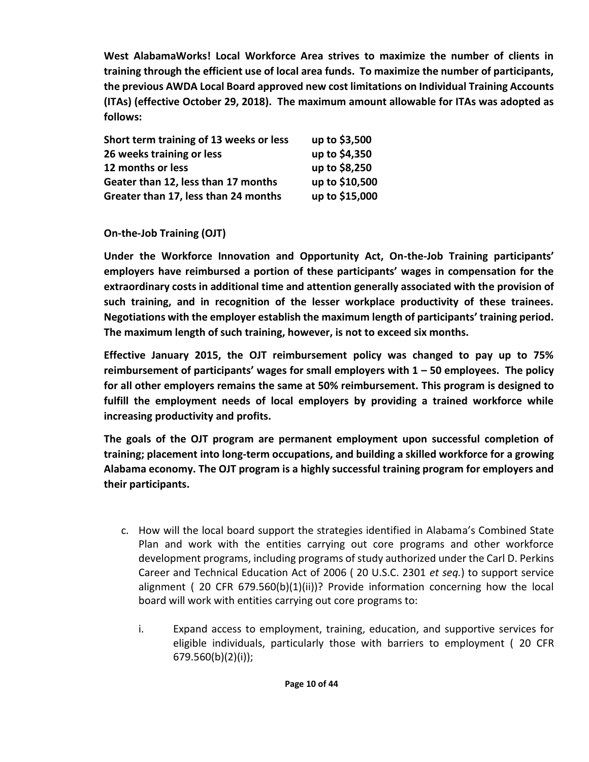**West AlabamaWorks! Local Workforce Area strives to maximize the number of clients in training through the efficient use of local area funds. To maximize the number of participants, the previous AWDA Local Board approved new cost limitations on Individual Training Accounts (ITAs) (effective October 29, 2018). The maximum amount allowable for ITAs was adopted as follows:**

| Short term training of 13 weeks or less | up to \$3,500  |
|-----------------------------------------|----------------|
| 26 weeks training or less               | up to \$4,350  |
| 12 months or less                       | up to \$8,250  |
| Geater than 12, less than 17 months     | up to \$10,500 |
| Greater than 17, less than 24 months    | up to \$15,000 |

## **On-the-Job Training (OJT)**

**Under the Workforce Innovation and Opportunity Act, On-the-Job Training participants' employers have reimbursed a portion of these participants' wages in compensation for the extraordinary costs in additional time and attention generally associated with the provision of such training, and in recognition of the lesser workplace productivity of these trainees. Negotiations with the employer establish the maximum length of participants' training period. The maximum length of such training, however, is not to exceed six months.** 

**Effective January 2015, the OJT reimbursement policy was changed to pay up to 75% reimbursement of participants' wages for small employers with 1 – 50 employees. The policy for all other employers remains the same at 50% reimbursement. This program is designed to fulfill the employment needs of local employers by providing a trained workforce while increasing productivity and profits.**

**The goals of the OJT program are permanent employment upon successful completion of training; placement into long-term occupations, and building a skilled workforce for a growing Alabama economy. The OJT program is a highly successful training program for employers and their participants.** 

- c. How will the local board support the strategies identified in Alabama's Combined State Plan and work with the entities carrying out core programs and other workforce development programs, including programs of study authorized under the Carl D. Perkins Career and Technical Education Act of 2006 ( 20 U.S.C. 2301 *et seq.*) to support service alignment ( 20 CFR 679.560(b)(1)(ii))? Provide information concerning how the local board will work with entities carrying out core programs to:
	- i. Expand access to employment, training, education, and supportive services for eligible individuals, particularly those with barriers to employment ( 20 CFR 679.560(b)(2)(i));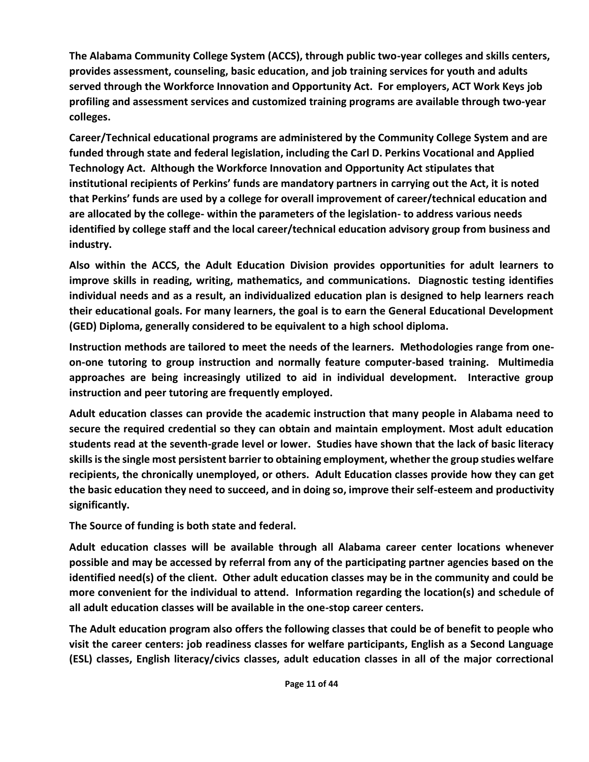**The Alabama Community College System (ACCS), through public two-year colleges and skills centers, provides assessment, counseling, basic education, and job training services for youth and adults served through the Workforce Innovation and Opportunity Act. For employers, ACT Work Keys job profiling and assessment services and customized training programs are available through two-year colleges.**

**Career/Technical educational programs are administered by the Community College System and are funded through state and federal legislation, including the Carl D. Perkins Vocational and Applied Technology Act. Although the Workforce Innovation and Opportunity Act stipulates that institutional recipients of Perkins' funds are mandatory partners in carrying out the Act, it is noted that Perkins' funds are used by a college for overall improvement of career/technical education and are allocated by the college- within the parameters of the legislation- to address various needs identified by college staff and the local career/technical education advisory group from business and industry.**

**Also within the ACCS, the Adult Education Division provides opportunities for adult learners to improve skills in reading, writing, mathematics, and communications. Diagnostic testing identifies individual needs and as a result, an individualized education plan is designed to help learners reach their educational goals. For many learners, the goal is to earn the General Educational Development (GED) Diploma, generally considered to be equivalent to a high school diploma.**

**Instruction methods are tailored to meet the needs of the learners. Methodologies range from oneon-one tutoring to group instruction and normally feature computer-based training. Multimedia approaches are being increasingly utilized to aid in individual development. Interactive group instruction and peer tutoring are frequently employed.**

**Adult education classes can provide the academic instruction that many people in Alabama need to secure the required credential so they can obtain and maintain employment. Most adult education students read at the seventh-grade level or lower. Studies have shown that the lack of basic literacy skills is the single most persistent barrier to obtaining employment, whether the group studies welfare recipients, the chronically unemployed, or others. Adult Education classes provide how they can get the basic education they need to succeed, and in doing so, improve their self-esteem and productivity significantly.**

**The Source of funding is both state and federal.**

**Adult education classes will be available through all Alabama career center locations whenever possible and may be accessed by referral from any of the participating partner agencies based on the identified need(s) of the client. Other adult education classes may be in the community and could be more convenient for the individual to attend. Information regarding the location(s) and schedule of all adult education classes will be available in the one-stop career centers.** 

**The Adult education program also offers the following classes that could be of benefit to people who visit the career centers: job readiness classes for welfare participants, English as a Second Language (ESL) classes, English literacy/civics classes, adult education classes in all of the major correctional**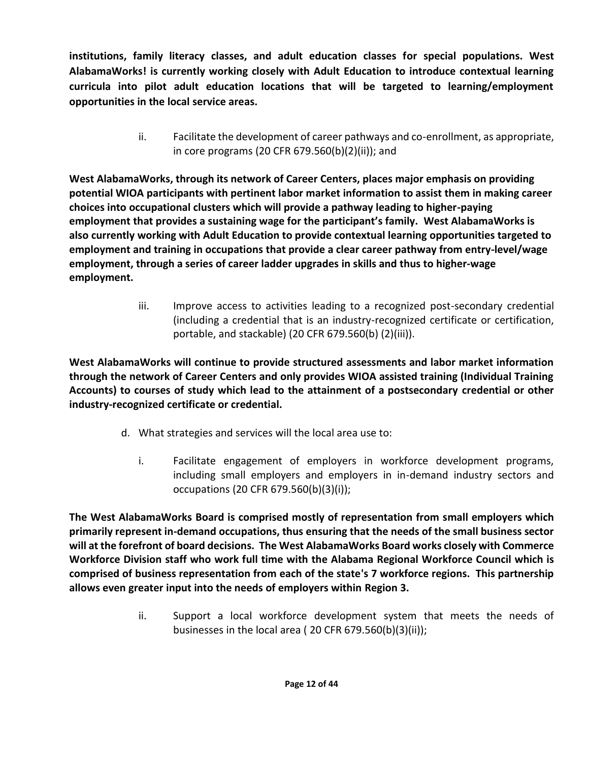**institutions, family literacy classes, and adult education classes for special populations. West AlabamaWorks! is currently working closely with Adult Education to introduce contextual learning curricula into pilot adult education locations that will be targeted to learning/employment opportunities in the local service areas.**

> ii. Facilitate the development of career pathways and co-enrollment, as appropriate, in core programs (20 CFR 679.560(b)(2)(ii)); and

**West AlabamaWorks, through its network of Career Centers, places major emphasis on providing potential WIOA participants with pertinent labor market information to assist them in making career choices into occupational clusters which will provide a pathway leading to higher-paying employment that provides a sustaining wage for the participant's family. West AlabamaWorks is also currently working with Adult Education to provide contextual learning opportunities targeted to employment and training in occupations that provide a clear career pathway from entry-level/wage employment, through a series of career ladder upgrades in skills and thus to higher-wage employment.**

> iii. Improve access to activities leading to a recognized post-secondary credential (including a credential that is an industry-recognized certificate or certification, portable, and stackable) (20 CFR 679.560(b) (2)(iii)).

**West AlabamaWorks will continue to provide structured assessments and labor market information through the network of Career Centers and only provides WIOA assisted training (Individual Training Accounts) to courses of study which lead to the attainment of a postsecondary credential or other industry-recognized certificate or credential.**

- d. What strategies and services will the local area use to:
	- i. Facilitate engagement of employers in workforce development programs, including small employers and employers in in-demand industry sectors and occupations (20 CFR 679.560(b)(3)(i));

**The West AlabamaWorks Board is comprised mostly of representation from small employers which primarily represent in-demand occupations, thus ensuring that the needs of the small business sector will at the forefront of board decisions. The West AlabamaWorks Board works closely with Commerce Workforce Division staff who work full time with the Alabama Regional Workforce Council which is comprised of business representation from each of the state's 7 workforce regions. This partnership allows even greater input into the needs of employers within Region 3.**

> ii. Support a local workforce development system that meets the needs of businesses in the local area ( 20 CFR 679.560(b)(3)(ii));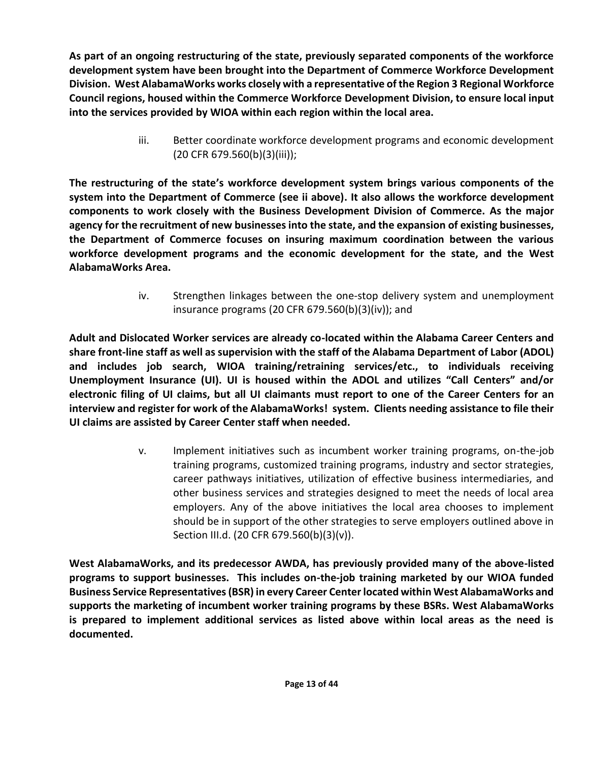**As part of an ongoing restructuring of the state, previously separated components of the workforce development system have been brought into the Department of Commerce Workforce Development Division. West AlabamaWorks works closely with a representative of the Region 3 Regional Workforce Council regions, housed within the Commerce Workforce Development Division, to ensure local input into the services provided by WIOA within each region within the local area.**

> iii. Better coordinate workforce development programs and economic development (20 CFR 679.560(b)(3)(iii));

**The restructuring of the state's workforce development system brings various components of the system into the Department of Commerce (see ii above). It also allows the workforce development components to work closely with the Business Development Division of Commerce. As the major agency for the recruitment of new businesses into the state, and the expansion of existing businesses, the Department of Commerce focuses on insuring maximum coordination between the various workforce development programs and the economic development for the state, and the West AlabamaWorks Area.**

> iv. Strengthen linkages between the one-stop delivery system and unemployment insurance programs (20 CFR 679.560(b)(3)(iv)); and

**Adult and Dislocated Worker services are already co-located within the Alabama Career Centers and share front-line staff as well as supervision with the staff of the Alabama Department of Labor (ADOL) and includes job search, WIOA training/retraining services/etc., to individuals receiving Unemployment Insurance (UI). UI is housed within the ADOL and utilizes "Call Centers" and/or electronic filing of UI claims, but all UI claimants must report to one of the Career Centers for an interview and register for work of the AlabamaWorks! system. Clients needing assistance to file their UI claims are assisted by Career Center staff when needed.**

> v. Implement initiatives such as incumbent worker training programs, on-the-job training programs, customized training programs, industry and sector strategies, career pathways initiatives, utilization of effective business intermediaries, and other business services and strategies designed to meet the needs of local area employers. Any of the above initiatives the local area chooses to implement should be in support of the other strategies to serve employers outlined above in Section III.d. (20 CFR 679.560(b)(3)(v)).

**West AlabamaWorks, and its predecessor AWDA, has previously provided many of the above-listed programs to support businesses. This includes on-the-job training marketed by our WIOA funded Business Service Representatives (BSR) in every Career Center located within West AlabamaWorks and supports the marketing of incumbent worker training programs by these BSRs. West AlabamaWorks is prepared to implement additional services as listed above within local areas as the need is documented.**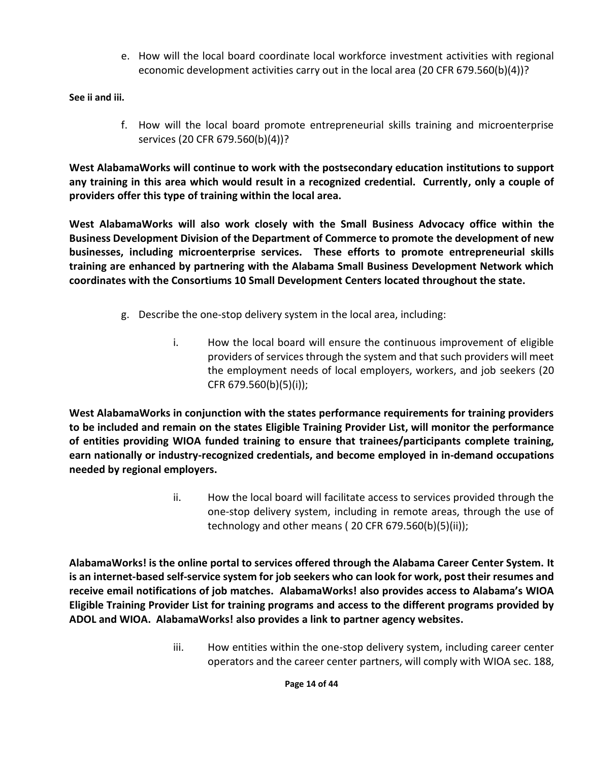e. How will the local board coordinate local workforce investment activities with regional economic development activities carry out in the local area (20 CFR 679.560(b)(4))?

**See ii and iii.**

f. How will the local board promote entrepreneurial skills training and microenterprise services (20 CFR 679.560(b)(4))?

**West AlabamaWorks will continue to work with the postsecondary education institutions to support any training in this area which would result in a recognized credential. Currently, only a couple of providers offer this type of training within the local area.**

**West AlabamaWorks will also work closely with the Small Business Advocacy office within the Business Development Division of the Department of Commerce to promote the development of new businesses, including microenterprise services. These efforts to promote entrepreneurial skills training are enhanced by partnering with the Alabama Small Business Development Network which coordinates with the Consortiums 10 Small Development Centers located throughout the state.**

- g. Describe the one-stop delivery system in the local area, including:
	- i. How the local board will ensure the continuous improvement of eligible providers of services through the system and that such providers will meet the employment needs of local employers, workers, and job seekers (20 CFR 679.560(b)(5)(i));

**West AlabamaWorks in conjunction with the states performance requirements for training providers to be included and remain on the states Eligible Training Provider List, will monitor the performance of entities providing WIOA funded training to ensure that trainees/participants complete training, earn nationally or industry-recognized credentials, and become employed in in-demand occupations needed by regional employers.**

> ii. How the local board will facilitate access to services provided through the one-stop delivery system, including in remote areas, through the use of technology and other means ( 20 CFR 679.560(b)(5)(ii));

**AlabamaWorks! is the online portal to services offered through the Alabama Career Center System. It is an internet-based self-service system for job seekers who can look for work, post their resumes and receive email notifications of job matches. AlabamaWorks! also provides access to Alabama's WIOA Eligible Training Provider List for training programs and access to the different programs provided by ADOL and WIOA. AlabamaWorks! also provides a link to partner agency websites.**

> iii. How entities within the one-stop delivery system, including career center operators and the career center partners, will comply with WIOA sec. 188,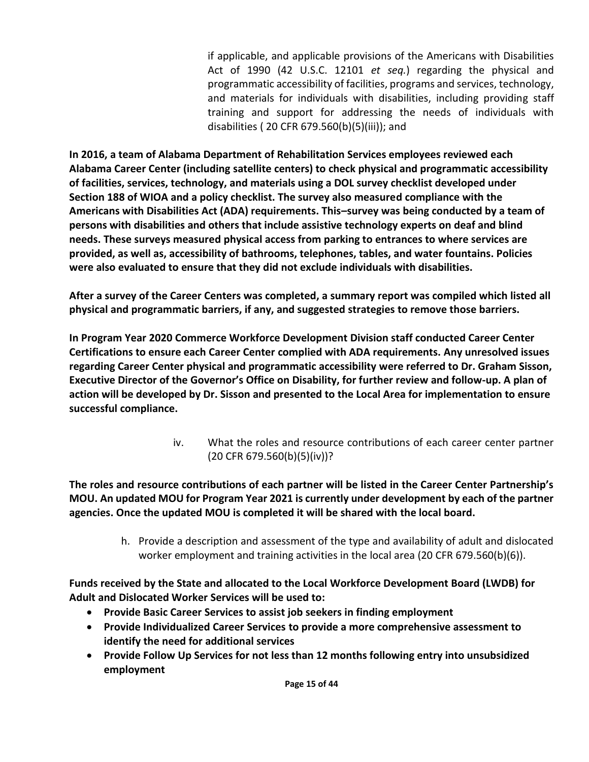if applicable, and applicable provisions of the Americans with Disabilities Act of 1990 (42 U.S.C. 12101 *et seq.*) regarding the physical and programmatic accessibility of facilities, programs and services, technology, and materials for individuals with disabilities, including providing staff training and support for addressing the needs of individuals with disabilities ( 20 CFR 679.560(b)(5)(iii)); and

**In 2016, a team of Alabama Department of Rehabilitation Services employees reviewed each Alabama Career Center (including satellite centers) to check physical and programmatic accessibility of facilities, services, technology, and materials using a DOL survey checklist developed under Section 188 of WIOA and a policy checklist. The survey also measured compliance with the Americans with Disabilities Act (ADA) requirements. This–survey was being conducted by a team of persons with disabilities and others that include assistive technology experts on deaf and blind needs. These surveys measured physical access from parking to entrances to where services are provided, as well as, accessibility of bathrooms, telephones, tables, and water fountains. Policies were also evaluated to ensure that they did not exclude individuals with disabilities.** 

**After a survey of the Career Centers was completed, a summary report was compiled which listed all physical and programmatic barriers, if any, and suggested strategies to remove those barriers.** 

**In Program Year 2020 Commerce Workforce Development Division staff conducted Career Center Certifications to ensure each Career Center complied with ADA requirements. Any unresolved issues regarding Career Center physical and programmatic accessibility were referred to Dr. Graham Sisson, Executive Director of the Governor's Office on Disability, for further review and follow-up. A plan of action will be developed by Dr. Sisson and presented to the Local Area for implementation to ensure successful compliance.**

> iv. What the roles and resource contributions of each career center partner (20 CFR 679.560(b)(5)(iv))?

**The roles and resource contributions of each partner will be listed in the Career Center Partnership's MOU. An updated MOU for Program Year 2021 is currently under development by each of the partner agencies. Once the updated MOU is completed it will be shared with the local board.**

> h. Provide a description and assessment of the type and availability of adult and dislocated worker employment and training activities in the local area (20 CFR 679.560(b)(6)).

**Funds received by the State and allocated to the Local Workforce Development Board (LWDB) for Adult and Dislocated Worker Services will be used to:**

- **Provide Basic Career Services to assist job seekers in finding employment**
- **Provide Individualized Career Services to provide a more comprehensive assessment to identify the need for additional services**
- **Provide Follow Up Services for not less than 12 months following entry into unsubsidized employment**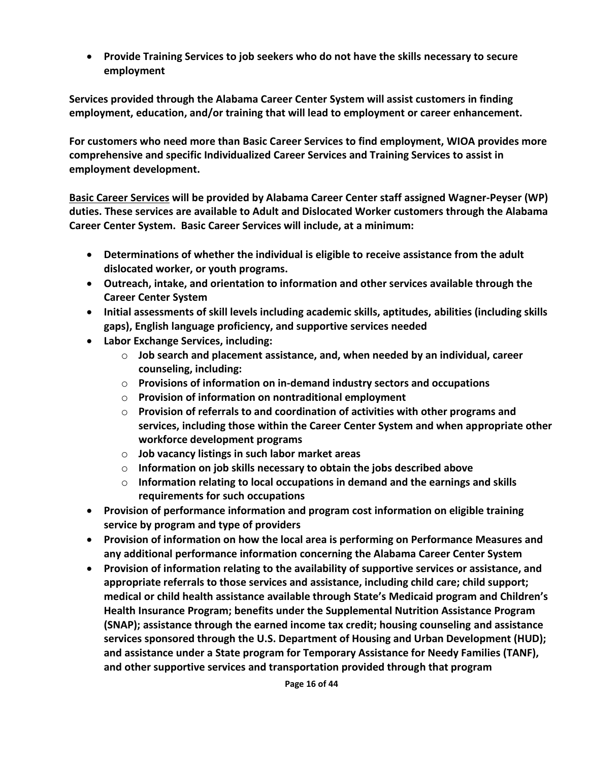• **Provide Training Services to job seekers who do not have the skills necessary to secure employment**

**Services provided through the Alabama Career Center System will assist customers in finding employment, education, and/or training that will lead to employment or career enhancement.**

**For customers who need more than Basic Career Services to find employment, WIOA provides more comprehensive and specific Individualized Career Services and Training Services to assist in employment development.** 

**Basic Career Services will be provided by Alabama Career Center staff assigned Wagner-Peyser (WP) duties. These services are available to Adult and Dislocated Worker customers through the Alabama Career Center System. Basic Career Services will include, at a minimum:**

- **Determinations of whether the individual is eligible to receive assistance from the adult dislocated worker, or youth programs.**
- **Outreach, intake, and orientation to information and other services available through the Career Center System**
- **Initial assessments of skill levels including academic skills, aptitudes, abilities (including skills gaps), English language proficiency, and supportive services needed**
- **Labor Exchange Services, including:**
	- o **Job search and placement assistance, and, when needed by an individual, career counseling, including:**
	- o **Provisions of information on in-demand industry sectors and occupations**
	- o **Provision of information on nontraditional employment**
	- o **Provision of referrals to and coordination of activities with other programs and services, including those within the Career Center System and when appropriate other workforce development programs**
	- o **Job vacancy listings in such labor market areas**
	- o **Information on job skills necessary to obtain the jobs described above**
	- o **Information relating to local occupations in demand and the earnings and skills requirements for such occupations**
- **Provision of performance information and program cost information on eligible training service by program and type of providers**
- **Provision of information on how the local area is performing on Performance Measures and any additional performance information concerning the Alabama Career Center System**
- **Provision of information relating to the availability of supportive services or assistance, and appropriate referrals to those services and assistance, including child care; child support; medical or child health assistance available through State's Medicaid program and Children's Health Insurance Program; benefits under the Supplemental Nutrition Assistance Program (SNAP); assistance through the earned income tax credit; housing counseling and assistance services sponsored through the U.S. Department of Housing and Urban Development (HUD); and assistance under a State program for Temporary Assistance for Needy Families (TANF), and other supportive services and transportation provided through that program**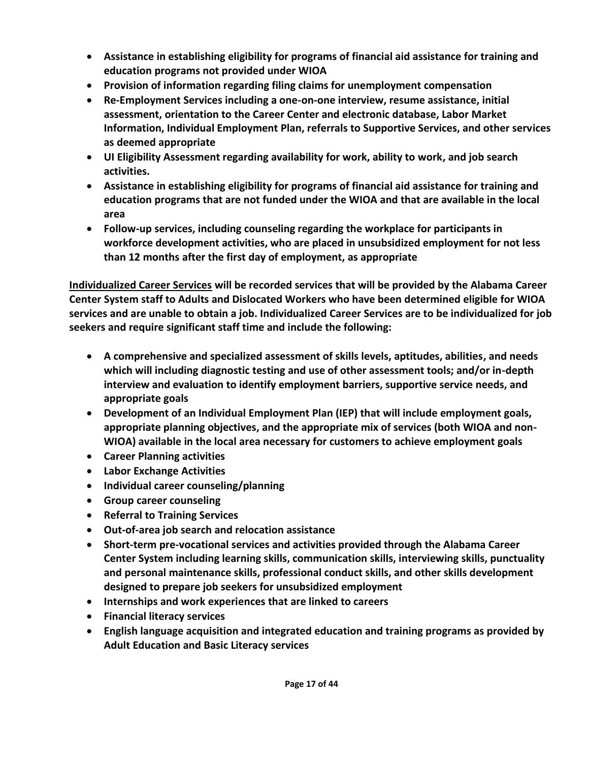- **Assistance in establishing eligibility for programs of financial aid assistance for training and education programs not provided under WIOA**
- **Provision of information regarding filing claims for unemployment compensation**
- **Re-Employment Services including a one-on-one interview, resume assistance, initial assessment, orientation to the Career Center and electronic database, Labor Market Information, Individual Employment Plan, referrals to Supportive Services, and other services as deemed appropriate**
- **UI Eligibility Assessment regarding availability for work, ability to work, and job search activities.**
- **Assistance in establishing eligibility for programs of financial aid assistance for training and education programs that are not funded under the WIOA and that are available in the local area**
- **Follow-up services, including counseling regarding the workplace for participants in workforce development activities, who are placed in unsubsidized employment for not less than 12 months after the first day of employment, as appropriate**

**Individualized Career Services will be recorded services that will be provided by the Alabama Career Center System staff to Adults and Dislocated Workers who have been determined eligible for WIOA services and are unable to obtain a job. Individualized Career Services are to be individualized for job seekers and require significant staff time and include the following:**

- **A comprehensive and specialized assessment of skills levels, aptitudes, abilities, and needs which will including diagnostic testing and use of other assessment tools; and/or in-depth interview and evaluation to identify employment barriers, supportive service needs, and appropriate goals**
- **Development of an Individual Employment Plan (IEP) that will include employment goals, appropriate planning objectives, and the appropriate mix of services (both WIOA and non-WIOA) available in the local area necessary for customers to achieve employment goals**
- **Career Planning activities**
- **Labor Exchange Activities**
- **Individual career counseling/planning**
- **Group career counseling**
- **Referral to Training Services**
- **Out-of-area job search and relocation assistance**
- **Short-term pre-vocational services and activities provided through the Alabama Career Center System including learning skills, communication skills, interviewing skills, punctuality and personal maintenance skills, professional conduct skills, and other skills development designed to prepare job seekers for unsubsidized employment**
- **Internships and work experiences that are linked to careers**
- **Financial literacy services**
- **English language acquisition and integrated education and training programs as provided by Adult Education and Basic Literacy services**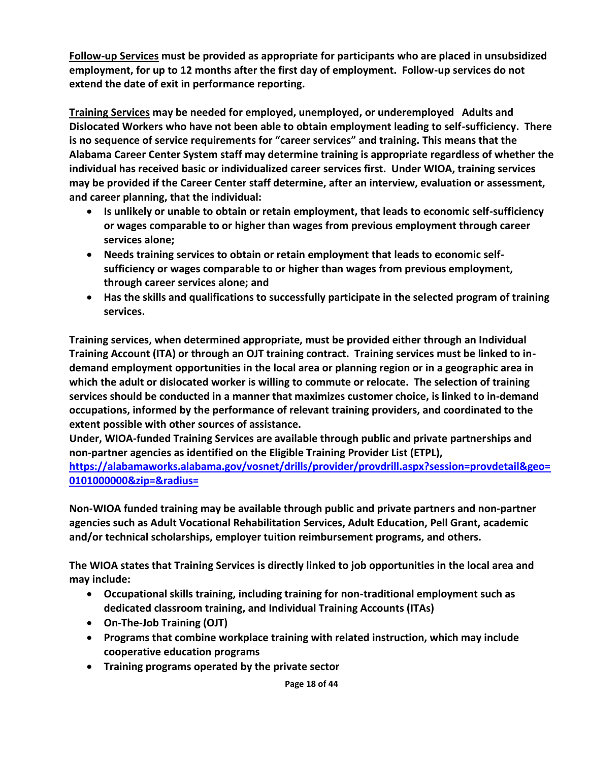**Follow-up Services must be provided as appropriate for participants who are placed in unsubsidized employment, for up to 12 months after the first day of employment. Follow-up services do not extend the date of exit in performance reporting.**

**Training Services may be needed for employed, unemployed, or underemployed Adults and Dislocated Workers who have not been able to obtain employment leading to self-sufficiency. There is no sequence of service requirements for "career services" and training. This means that the Alabama Career Center System staff may determine training is appropriate regardless of whether the individual has received basic or individualized career services first. Under WIOA, training services may be provided if the Career Center staff determine, after an interview, evaluation or assessment, and career planning, that the individual:** 

- **Is unlikely or unable to obtain or retain employment, that leads to economic self-sufficiency or wages comparable to or higher than wages from previous employment through career services alone;**
- **Needs training services to obtain or retain employment that leads to economic selfsufficiency or wages comparable to or higher than wages from previous employment, through career services alone; and**
- **Has the skills and qualifications to successfully participate in the selected program of training services.**

**Training services, when determined appropriate, must be provided either through an Individual Training Account (ITA) or through an OJT training contract. Training services must be linked to indemand employment opportunities in the local area or planning region or in a geographic area in which the adult or dislocated worker is willing to commute or relocate. The selection of training services should be conducted in a manner that maximizes customer choice, is linked to in-demand occupations, informed by the performance of relevant training providers, and coordinated to the extent possible with other sources of assistance.** 

**Under, WIOA-funded Training Services are available through public and private partnerships and non-partner agencies as identified on the Eligible Training Provider List (ETPL),** 

**[https://alabamaworks.alabama.gov/vosnet/drills/provider/provdrill.aspx?session=provdetail&geo=](https://alabamaworks.alabama.gov/vosnet/drills/provider/provdrill.aspx?session=provdetail&geo=0101000000&zip=&radius=) [0101000000&zip=&radius=](https://alabamaworks.alabama.gov/vosnet/drills/provider/provdrill.aspx?session=provdetail&geo=0101000000&zip=&radius=)**

**Non-WIOA funded training may be available through public and private partners and non-partner agencies such as Adult Vocational Rehabilitation Services, Adult Education, Pell Grant, academic and/or technical scholarships, employer tuition reimbursement programs, and others.**

**The WIOA states that Training Services is directly linked to job opportunities in the local area and may include:**

- **Occupational skills training, including training for non-traditional employment such as dedicated classroom training, and Individual Training Accounts (ITAs)**
- **On-The-Job Training (OJT)**
- **Programs that combine workplace training with related instruction, which may include cooperative education programs**
- **Training programs operated by the private sector**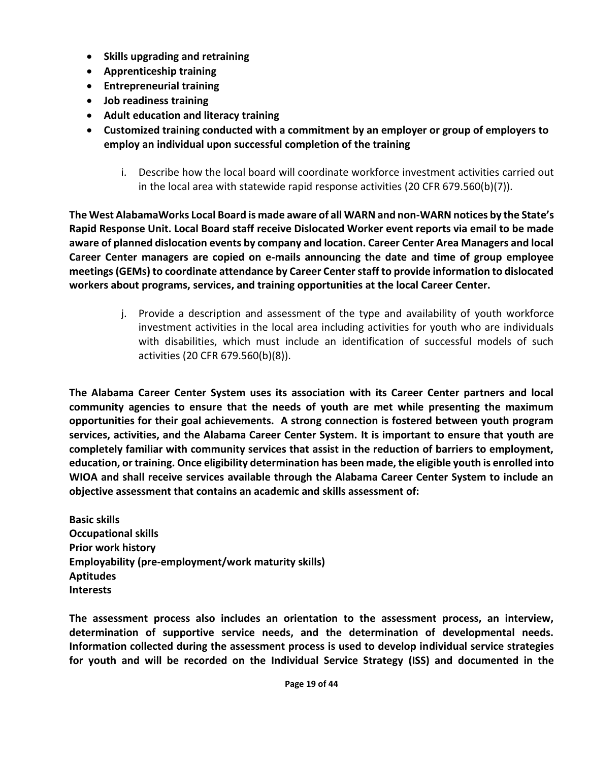- **Skills upgrading and retraining**
- **Apprenticeship training**
- **Entrepreneurial training**
- **Job readiness training**
- **Adult education and literacy training**
- **Customized training conducted with a commitment by an employer or group of employers to employ an individual upon successful completion of the training**
	- i. Describe how the local board will coordinate workforce investment activities carried out in the local area with statewide rapid response activities (20 CFR 679.560(b)(7)).

**The West AlabamaWorks Local Board is made aware of all WARN and non-WARN notices by the State's Rapid Response Unit. Local Board staff receive Dislocated Worker event reports via email to be made aware of planned dislocation events by company and location. Career Center Area Managers and local Career Center managers are copied on e-mails announcing the date and time of group employee meetings (GEMs) to coordinate attendance by Career Center staff to provide information to dislocated workers about programs, services, and training opportunities at the local Career Center.**

> j. Provide a description and assessment of the type and availability of youth workforce investment activities in the local area including activities for youth who are individuals with disabilities, which must include an identification of successful models of such activities (20 CFR 679.560(b)(8)).

**The Alabama Career Center System uses its association with its Career Center partners and local community agencies to ensure that the needs of youth are met while presenting the maximum opportunities for their goal achievements. A strong connection is fostered between youth program services, activities, and the Alabama Career Center System. It is important to ensure that youth are completely familiar with community services that assist in the reduction of barriers to employment, education, or training. Once eligibility determination has been made, the eligible youth is enrolled into WIOA and shall receive services available through the Alabama Career Center System to include an objective assessment that contains an academic and skills assessment of:**

**Basic skills Occupational skills Prior work history Employability (pre-employment/work maturity skills) Aptitudes Interests**

**The assessment process also includes an orientation to the assessment process, an interview, determination of supportive service needs, and the determination of developmental needs. Information collected during the assessment process is used to develop individual service strategies for youth and will be recorded on the Individual Service Strategy (ISS) and documented in the**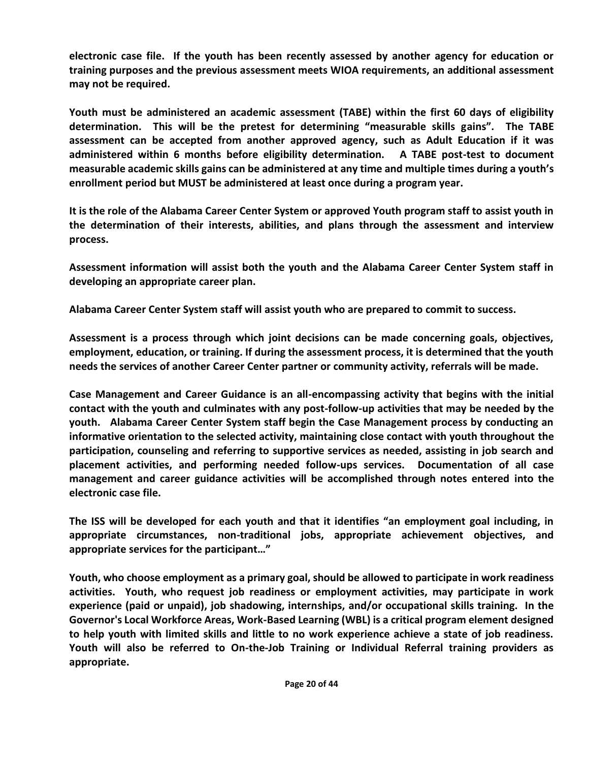**electronic case file. If the youth has been recently assessed by another agency for education or training purposes and the previous assessment meets WIOA requirements, an additional assessment may not be required.**

**Youth must be administered an academic assessment (TABE) within the first 60 days of eligibility determination. This will be the pretest for determining "measurable skills gains". The TABE assessment can be accepted from another approved agency, such as Adult Education if it was administered within 6 months before eligibility determination. A TABE post-test to document measurable academic skills gains can be administered at any time and multiple times during a youth's enrollment period but MUST be administered at least once during a program year.** 

**It is the role of the Alabama Career Center System or approved Youth program staff to assist youth in the determination of their interests, abilities, and plans through the assessment and interview process.**

**Assessment information will assist both the youth and the Alabama Career Center System staff in developing an appropriate career plan.**

**Alabama Career Center System staff will assist youth who are prepared to commit to success.**

**Assessment is a process through which joint decisions can be made concerning goals, objectives, employment, education, or training. If during the assessment process, it is determined that the youth needs the services of another Career Center partner or community activity, referrals will be made.**

**Case Management and Career Guidance is an all-encompassing activity that begins with the initial contact with the youth and culminates with any post-follow-up activities that may be needed by the youth. Alabama Career Center System staff begin the Case Management process by conducting an informative orientation to the selected activity, maintaining close contact with youth throughout the participation, counseling and referring to supportive services as needed, assisting in job search and placement activities, and performing needed follow-ups services. Documentation of all case management and career guidance activities will be accomplished through notes entered into the electronic case file.** 

**The ISS will be developed for each youth and that it identifies "an employment goal including, in appropriate circumstances, non-traditional jobs, appropriate achievement objectives, and appropriate services for the participant…"**

**Youth, who choose employment as a primary goal, should be allowed to participate in work readiness activities. Youth, who request job readiness or employment activities, may participate in work experience (paid or unpaid), job shadowing, internships, and/or occupational skills training. In the Governor's Local Workforce Areas, Work-Based Learning (WBL) is a critical program element designed to help youth with limited skills and little to no work experience achieve a state of job readiness. Youth will also be referred to On-the-Job Training or Individual Referral training providers as appropriate.**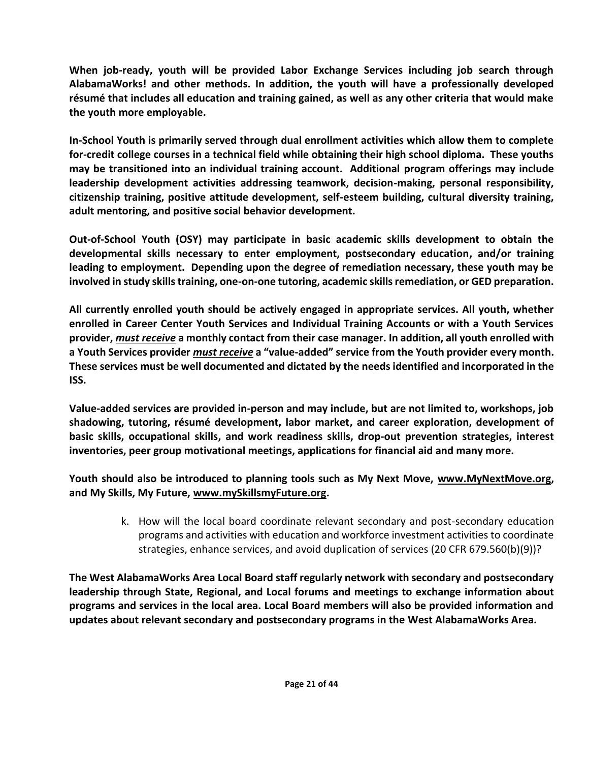**When job-ready, youth will be provided Labor Exchange Services including job search through AlabamaWorks! and other methods. In addition, the youth will have a professionally developed résumé that includes all education and training gained, as well as any other criteria that would make the youth more employable.** 

**In-School Youth is primarily served through dual enrollment activities which allow them to complete for-credit college courses in a technical field while obtaining their high school diploma. These youths may be transitioned into an individual training account. Additional program offerings may include leadership development activities addressing teamwork, decision-making, personal responsibility, citizenship training, positive attitude development, self-esteem building, cultural diversity training, adult mentoring, and positive social behavior development.** 

**Out-of-School Youth (OSY) may participate in basic academic skills development to obtain the developmental skills necessary to enter employment, postsecondary education, and/or training leading to employment. Depending upon the degree of remediation necessary, these youth may be involved in study skills training, one-on-one tutoring, academic skills remediation, or GED preparation.** 

**All currently enrolled youth should be actively engaged in appropriate services. All youth, whether enrolled in Career Center Youth Services and Individual Training Accounts or with a Youth Services provider,** *must receive* **a monthly contact from their case manager. In addition, all youth enrolled with a Youth Services provider** *must receive* **a "value-added" service from the Youth provider every month. These services must be well documented and dictated by the needs identified and incorporated in the ISS.** 

**Value-added services are provided in-person and may include, but are not limited to, workshops, job shadowing, tutoring, résumé development, labor market, and career exploration, development of basic skills, occupational skills, and work readiness skills, drop-out prevention strategies, interest inventories, peer group motivational meetings, applications for financial aid and many more.** 

**Youth should also be introduced to planning tools such as My Next Move, [www.MyNextMove.org,](http://www.mynextmove.org/) and My Skills, My Future, [www.mySkillsmyFuture.org.](http://www.myskillsmyfuture.org/)**

> k. How will the local board coordinate relevant secondary and post-secondary education programs and activities with education and workforce investment activities to coordinate strategies, enhance services, and avoid duplication of services (20 CFR 679.560(b)(9))?

**The West AlabamaWorks Area Local Board staff regularly network with secondary and postsecondary leadership through State, Regional, and Local forums and meetings to exchange information about programs and services in the local area. Local Board members will also be provided information and updates about relevant secondary and postsecondary programs in the West AlabamaWorks Area.**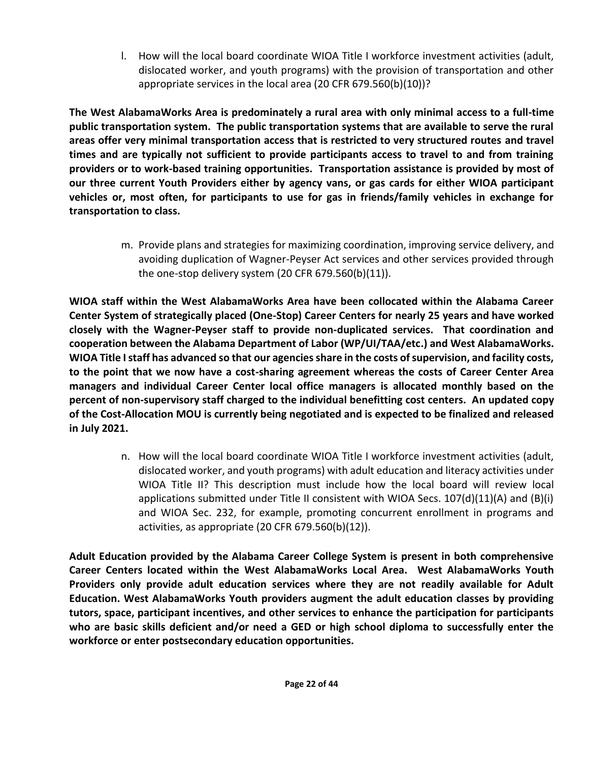l. How will the local board coordinate WIOA Title I workforce investment activities (adult, dislocated worker, and youth programs) with the provision of transportation and other appropriate services in the local area (20 CFR 679.560(b)(10))?

**The West AlabamaWorks Area is predominately a rural area with only minimal access to a full-time public transportation system. The public transportation systems that are available to serve the rural areas offer very minimal transportation access that is restricted to very structured routes and travel times and are typically not sufficient to provide participants access to travel to and from training providers or to work-based training opportunities. Transportation assistance is provided by most of our three current Youth Providers either by agency vans, or gas cards for either WIOA participant vehicles or, most often, for participants to use for gas in friends/family vehicles in exchange for transportation to class.**

> m. Provide plans and strategies for maximizing coordination, improving service delivery, and avoiding duplication of Wagner-Peyser Act services and other services provided through the one-stop delivery system (20 CFR 679.560(b)(11)).

**WIOA staff within the West AlabamaWorks Area have been collocated within the Alabama Career Center System of strategically placed (One-Stop) Career Centers for nearly 25 years and have worked closely with the Wagner-Peyser staff to provide non-duplicated services. That coordination and cooperation between the Alabama Department of Labor (WP/UI/TAA/etc.) and West AlabamaWorks. WIOA Title I staff has advanced so that our agencies share in the costs of supervision, and facility costs, to the point that we now have a cost-sharing agreement whereas the costs of Career Center Area managers and individual Career Center local office managers is allocated monthly based on the percent of non-supervisory staff charged to the individual benefitting cost centers. An updated copy of the Cost-Allocation MOU is currently being negotiated and is expected to be finalized and released in July 2021.**

> n. How will the local board coordinate WIOA Title I workforce investment activities (adult, dislocated worker, and youth programs) with adult education and literacy activities under WIOA Title II? This description must include how the local board will review local applications submitted under Title II consistent with WIOA Secs. 107(d)(11)(A) and (B)(i) and WIOA Sec. 232, for example, promoting concurrent enrollment in programs and activities, as appropriate (20 CFR 679.560(b)(12)).

**Adult Education provided by the Alabama Career College System is present in both comprehensive Career Centers located within the West AlabamaWorks Local Area. West AlabamaWorks Youth Providers only provide adult education services where they are not readily available for Adult Education. West AlabamaWorks Youth providers augment the adult education classes by providing tutors, space, participant incentives, and other services to enhance the participation for participants who are basic skills deficient and/or need a GED or high school diploma to successfully enter the workforce or enter postsecondary education opportunities.**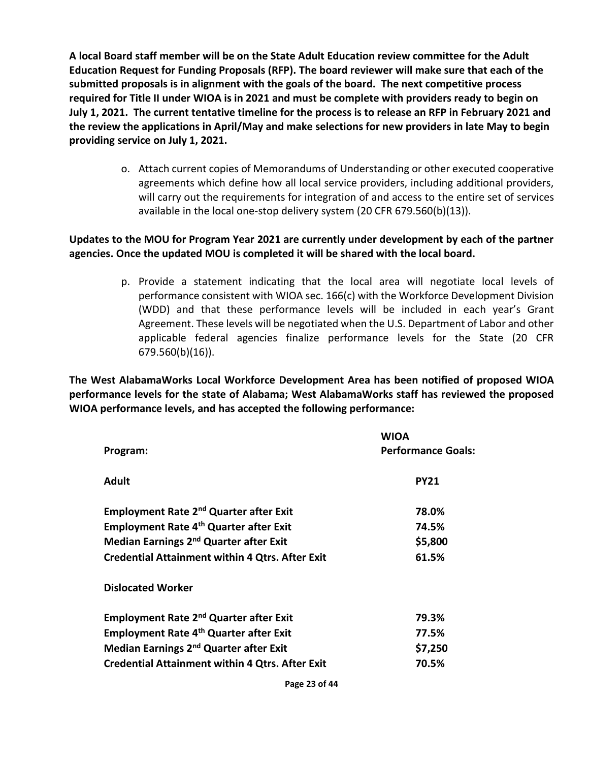**A local Board staff member will be on the State Adult Education review committee for the Adult Education Request for Funding Proposals (RFP). The board reviewer will make sure that each of the submitted proposals is in alignment with the goals of the board. The next competitive process required for Title II under WIOA is in 2021 and must be complete with providers ready to begin on July 1, 2021. The current tentative timeline for the process is to release an RFP in February 2021 and the review the applications in April/May and make selections for new providers in late May to begin providing service on July 1, 2021.**

> o. Attach current copies of Memorandums of Understanding or other executed cooperative agreements which define how all local service providers, including additional providers, will carry out the requirements for integration of and access to the entire set of services available in the local one-stop delivery system (20 CFR 679.560(b)(13)).

## **Updates to the MOU for Program Year 2021 are currently under development by each of the partner agencies. Once the updated MOU is completed it will be shared with the local board.**

p. Provide a statement indicating that the local area will negotiate local levels of performance consistent with WIOA sec. 166(c) with the Workforce Development Division (WDD) and that these performance levels will be included in each year's Grant Agreement. These levels will be negotiated when the U.S. Department of Labor and other applicable federal agencies finalize performance levels for the State (20 CFR 679.560(b)(16)).

**The West AlabamaWorks Local Workforce Development Area has been notified of proposed WIOA performance levels for the state of Alabama; West AlabamaWorks staff has reviewed the proposed WIOA performance levels, and has accepted the following performance:**

| Program:                                                 | <b>WIOA</b><br><b>Performance Goals:</b> |
|----------------------------------------------------------|------------------------------------------|
| <b>Adult</b>                                             | <b>PY21</b>                              |
| <b>Employment Rate 2<sup>nd</sup> Quarter after Exit</b> | 78.0%                                    |
| Employment Rate 4 <sup>th</sup> Quarter after Exit       | 74.5%                                    |
| Median Earnings 2 <sup>nd</sup> Quarter after Exit       | \$5,800                                  |
| <b>Credential Attainment within 4 Qtrs. After Exit</b>   | 61.5%                                    |
| <b>Dislocated Worker</b>                                 |                                          |
| <b>Employment Rate 2nd Quarter after Exit</b>            | 79.3%                                    |
| <b>Employment Rate 4th Quarter after Exit</b>            | 77.5%                                    |
| Median Earnings 2 <sup>nd</sup> Quarter after Exit       | \$7,250                                  |
| <b>Credential Attainment within 4 Qtrs. After Exit</b>   | 70.5%                                    |
|                                                          |                                          |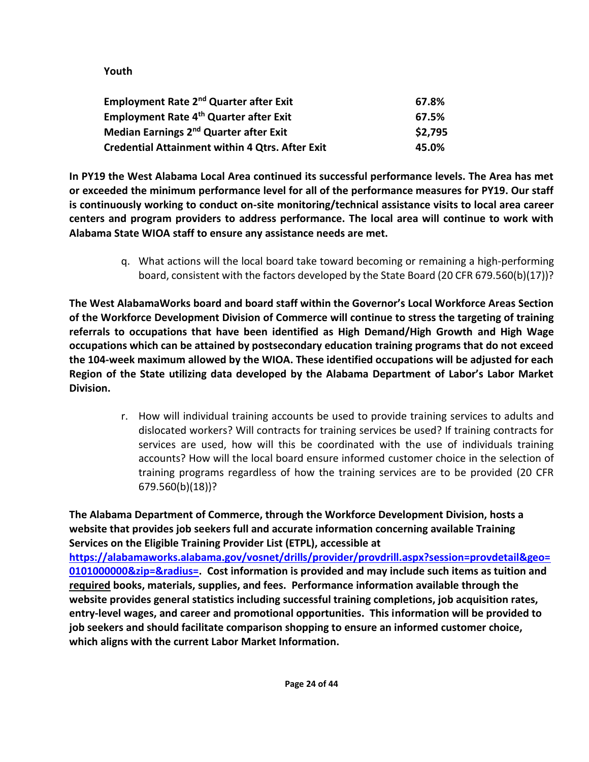# **Youth**

| <b>Employment Rate 2<sup>nd</sup> Quarter after Exit</b> | 67.8%   |
|----------------------------------------------------------|---------|
| Employment Rate 4th Quarter after Exit                   | 67.5%   |
| Median Earnings 2 <sup>nd</sup> Quarter after Exit       | \$2,795 |
| <b>Credential Attainment within 4 Qtrs. After Exit</b>   | 45.0%   |

**In PY19 the West Alabama Local Area continued its successful performance levels. The Area has met or exceeded the minimum performance level for all of the performance measures for PY19. Our staff is continuously working to conduct on-site monitoring/technical assistance visits to local area career centers and program providers to address performance. The local area will continue to work with Alabama State WIOA staff to ensure any assistance needs are met.**

> q. What actions will the local board take toward becoming or remaining a high-performing board, consistent with the factors developed by the State Board (20 CFR 679.560(b)(17))?

**The West AlabamaWorks board and board staff within the Governor's Local Workforce Areas Section of the Workforce Development Division of Commerce will continue to stress the targeting of training referrals to occupations that have been identified as High Demand/High Growth and High Wage occupations which can be attained by postsecondary education training programs that do not exceed the 104-week maximum allowed by the WIOA. These identified occupations will be adjusted for each Region of the State utilizing data developed by the Alabama Department of Labor's Labor Market Division.** 

> r. How will individual training accounts be used to provide training services to adults and dislocated workers? Will contracts for training services be used? If training contracts for services are used, how will this be coordinated with the use of individuals training accounts? How will the local board ensure informed customer choice in the selection of training programs regardless of how the training services are to be provided (20 CFR 679.560(b)(18))?

**The Alabama Department of Commerce, through the Workforce Development Division, hosts a website that provides job seekers full and accurate information concerning available Training Services on the Eligible Training Provider List (ETPL), accessible at [https://alabamaworks.alabama.gov/vosnet/drills/provider/provdrill.aspx?session=provdetail&geo=](https://alabamaworks.alabama.gov/vosnet/drills/provider/provdrill.aspx?session=provdetail&geo=0101000000&zip=&radius=) [0101000000&zip=&radius=.](https://alabamaworks.alabama.gov/vosnet/drills/provider/provdrill.aspx?session=provdetail&geo=0101000000&zip=&radius=) Cost information is provided and may include such items as tuition and required books, materials, supplies, and fees. Performance information available through the website provides general statistics including successful training completions, job acquisition rates, entry-level wages, and career and promotional opportunities. This information will be provided to job seekers and should facilitate comparison shopping to ensure an informed customer choice, which aligns with the current Labor Market Information.**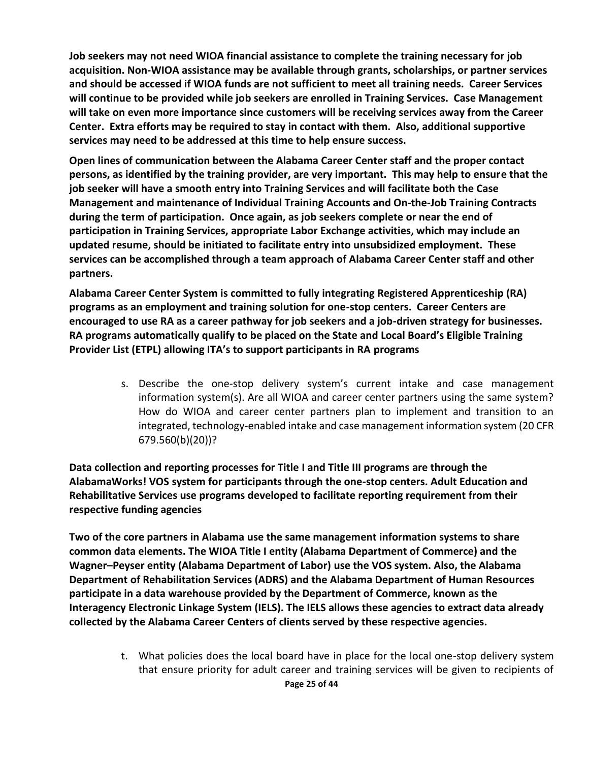**Job seekers may not need WIOA financial assistance to complete the training necessary for job acquisition. Non-WIOA assistance may be available through grants, scholarships, or partner services and should be accessed if WIOA funds are not sufficient to meet all training needs. Career Services will continue to be provided while job seekers are enrolled in Training Services. Case Management will take on even more importance since customers will be receiving services away from the Career Center. Extra efforts may be required to stay in contact with them. Also, additional supportive services may need to be addressed at this time to help ensure success.**

**Open lines of communication between the Alabama Career Center staff and the proper contact persons, as identified by the training provider, are very important. This may help to ensure that the job seeker will have a smooth entry into Training Services and will facilitate both the Case Management and maintenance of Individual Training Accounts and On-the-Job Training Contracts during the term of participation. Once again, as job seekers complete or near the end of participation in Training Services, appropriate Labor Exchange activities, which may include an updated resume, should be initiated to facilitate entry into unsubsidized employment. These services can be accomplished through a team approach of Alabama Career Center staff and other partners.**

**Alabama Career Center System is committed to fully integrating Registered Apprenticeship (RA) programs as an employment and training solution for one-stop centers. Career Centers are encouraged to use RA as a career pathway for job seekers and a job-driven strategy for businesses. RA programs automatically qualify to be placed on the State and Local Board's Eligible Training Provider List (ETPL) allowing ITA's to support participants in RA programs**

> s. Describe the one-stop delivery system's current intake and case management information system(s). Are all WIOA and career center partners using the same system? How do WIOA and career center partners plan to implement and transition to an integrated, technology-enabled intake and case management information system (20 CFR 679.560(b)(20))?

**Data collection and reporting processes for Title I and Title III programs are through the AlabamaWorks! VOS system for participants through the one-stop centers. Adult Education and Rehabilitative Services use programs developed to facilitate reporting requirement from their respective funding agencies** 

**Two of the core partners in Alabama use the same management information systems to share common data elements. The WIOA Title I entity (Alabama Department of Commerce) and the Wagner–Peyser entity (Alabama Department of Labor) use the VOS system. Also, the Alabama Department of Rehabilitation Services (ADRS) and the Alabama Department of Human Resources participate in a data warehouse provided by the Department of Commerce, known as the Interagency Electronic Linkage System (IELS). The IELS allows these agencies to extract data already collected by the Alabama Career Centers of clients served by these respective agencies.** 

> **Page 25 of 44** t. What policies does the local board have in place for the local one-stop delivery system that ensure priority for adult career and training services will be given to recipients of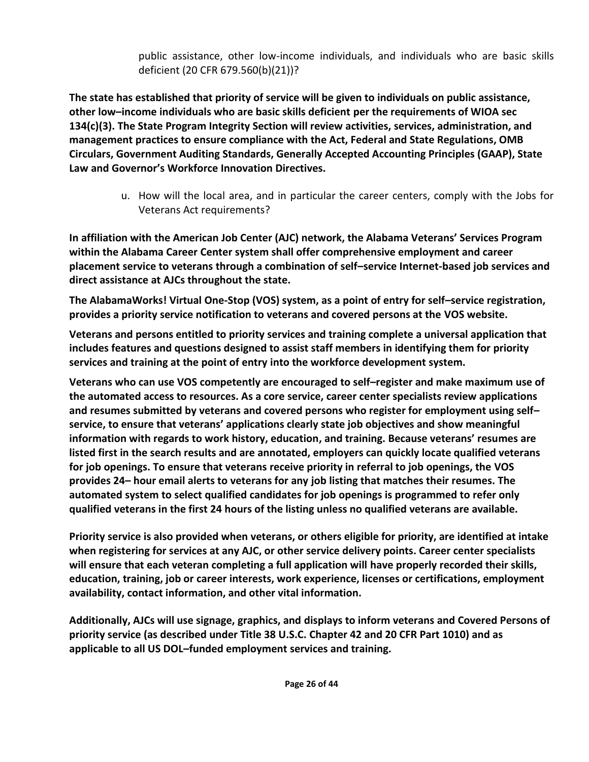public assistance, other low-income individuals, and individuals who are basic skills deficient (20 CFR 679.560(b)(21))?

**The state has established that priority of service will be given to individuals on public assistance, other low–income individuals who are basic skills deficient per the requirements of WIOA sec 134(c)(3). The State Program Integrity Section will review activities, services, administration, and management practices to ensure compliance with the Act, Federal and State Regulations, OMB Circulars, Government Auditing Standards, Generally Accepted Accounting Principles (GAAP), State Law and Governor's Workforce Innovation Directives.** 

> u. How will the local area, and in particular the career centers, comply with the Jobs for Veterans Act requirements?

**In affiliation with the American Job Center (AJC) network, the Alabama Veterans' Services Program within the Alabama Career Center system shall offer comprehensive employment and career placement service to veterans through a combination of self–service Internet-based job services and direct assistance at AJCs throughout the state.** 

**The AlabamaWorks! Virtual One-Stop (VOS) system, as a point of entry for self–service registration, provides a priority service notification to veterans and covered persons at the VOS website.**

**Veterans and persons entitled to priority services and training complete a universal application that includes features and questions designed to assist staff members in identifying them for priority services and training at the point of entry into the workforce development system.** 

**Veterans who can use VOS competently are encouraged to self–register and make maximum use of the automated access to resources. As a core service, career center specialists review applications and resumes submitted by veterans and covered persons who register for employment using self– service, to ensure that veterans' applications clearly state job objectives and show meaningful information with regards to work history, education, and training. Because veterans' resumes are listed first in the search results and are annotated, employers can quickly locate qualified veterans for job openings. To ensure that veterans receive priority in referral to job openings, the VOS provides 24– hour email alerts to veterans for any job listing that matches their resumes. The automated system to select qualified candidates for job openings is programmed to refer only qualified veterans in the first 24 hours of the listing unless no qualified veterans are available.** 

**Priority service is also provided when veterans, or others eligible for priority, are identified at intake when registering for services at any AJC, or other service delivery points. Career center specialists will ensure that each veteran completing a full application will have properly recorded their skills, education, training, job or career interests, work experience, licenses or certifications, employment availability, contact information, and other vital information.** 

**Additionally, AJCs will use signage, graphics, and displays to inform veterans and Covered Persons of priority service (as described under Title 38 U.S.C. Chapter 42 and 20 CFR Part 1010) and as applicable to all US DOL–funded employment services and training.**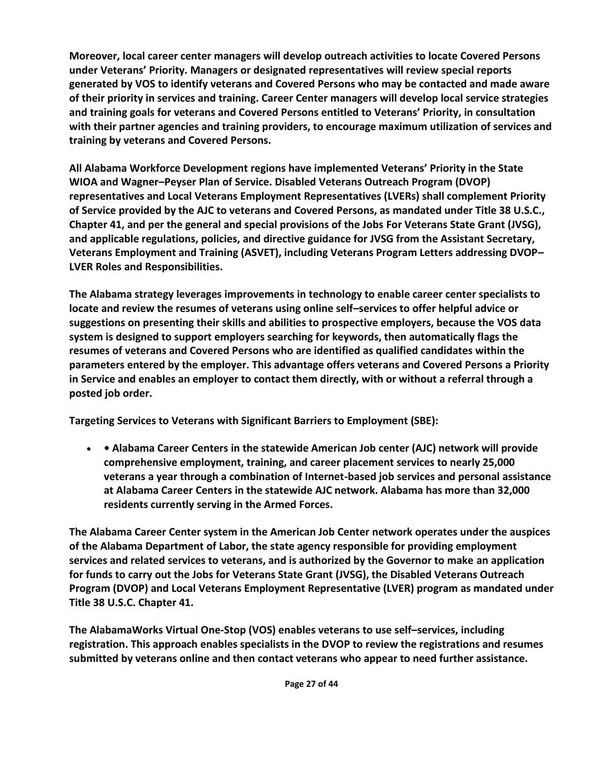**Moreover, local career center managers will develop outreach activities to locate Covered Persons under Veterans' Priority. Managers or designated representatives will review special reports generated by VOS to identify veterans and Covered Persons who may be contacted and made aware of their priority in services and training. Career Center managers will develop local service strategies and training goals for veterans and Covered Persons entitled to Veterans' Priority, in consultation with their partner agencies and training providers, to encourage maximum utilization of services and training by veterans and Covered Persons.** 

**All Alabama Workforce Development regions have implemented Veterans' Priority in the State WIOA and Wagner–Peyser Plan of Service. Disabled Veterans Outreach Program (DVOP) representatives and Local Veterans Employment Representatives (LVERs) shall complement Priority of Service provided by the AJC to veterans and Covered Persons, as mandated under Title 38 U.S.C., Chapter 41, and per the general and special provisions of the Jobs For Veterans State Grant (JVSG), and applicable regulations, policies, and directive guidance for JVSG from the Assistant Secretary, Veterans Employment and Training (ASVET), including Veterans Program Letters addressing DVOP– LVER Roles and Responsibilities.** 

**The Alabama strategy leverages improvements in technology to enable career center specialists to locate and review the resumes of veterans using online self–services to offer helpful advice or suggestions on presenting their skills and abilities to prospective employers, because the VOS data system is designed to support employers searching for keywords, then automatically flags the resumes of veterans and Covered Persons who are identified as qualified candidates within the parameters entered by the employer. This advantage offers veterans and Covered Persons a Priority in Service and enables an employer to contact them directly, with or without a referral through a posted job order.** 

**Targeting Services to Veterans with Significant Barriers to Employment (SBE):** 

• **• Alabama Career Centers in the statewide American Job center (AJC) network will provide comprehensive employment, training, and career placement services to nearly 25,000 veterans a year through a combination of Internet-based job services and personal assistance at Alabama Career Centers in the statewide AJC network. Alabama has more than 32,000 residents currently serving in the Armed Forces.** 

**The Alabama Career Center system in the American Job Center network operates under the auspices of the Alabama Department of Labor, the state agency responsible for providing employment services and related services to veterans, and is authorized by the Governor to make an application for funds to carry out the Jobs for Veterans State Grant (JVSG), the Disabled Veterans Outreach Program (DVOP) and Local Veterans Employment Representative (LVER) program as mandated under Title 38 U.S.C. Chapter 41.** 

**The AlabamaWorks Virtual One-Stop (VOS) enables veterans to use self–services, including registration. This approach enables specialists in the DVOP to review the registrations and resumes submitted by veterans online and then contact veterans who appear to need further assistance.**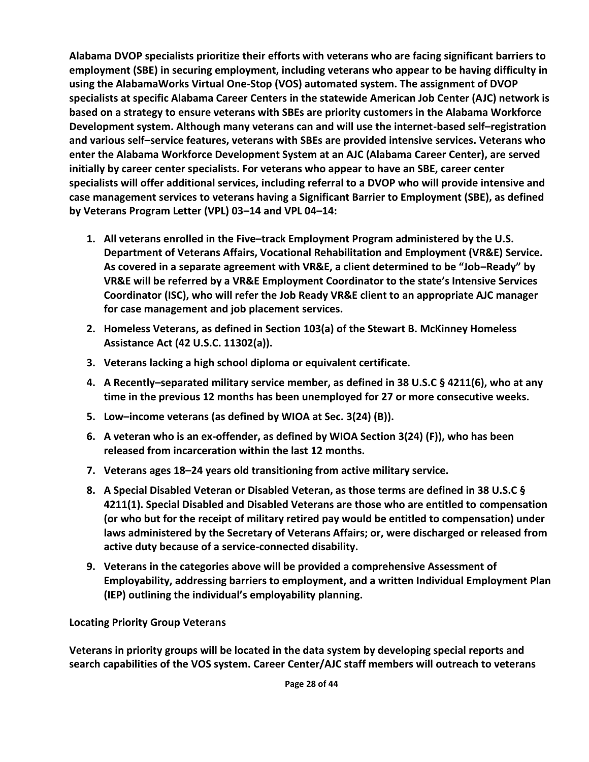**Alabama DVOP specialists prioritize their efforts with veterans who are facing significant barriers to employment (SBE) in securing employment, including veterans who appear to be having difficulty in using the AlabamaWorks Virtual One-Stop (VOS) automated system. The assignment of DVOP specialists at specific Alabama Career Centers in the statewide American Job Center (AJC) network is based on a strategy to ensure veterans with SBEs are priority customers in the Alabama Workforce Development system. Although many veterans can and will use the internet-based self–registration and various self–service features, veterans with SBEs are provided intensive services. Veterans who enter the Alabama Workforce Development System at an AJC (Alabama Career Center), are served initially by career center specialists. For veterans who appear to have an SBE, career center specialists will offer additional services, including referral to a DVOP who will provide intensive and case management services to veterans having a Significant Barrier to Employment (SBE), as defined by Veterans Program Letter (VPL) 03–14 and VPL 04–14:** 

- **1. All veterans enrolled in the Five–track Employment Program administered by the U.S. Department of Veterans Affairs, Vocational Rehabilitation and Employment (VR&E) Service. As covered in a separate agreement with VR&E, a client determined to be "Job–Ready" by VR&E will be referred by a VR&E Employment Coordinator to the state's Intensive Services Coordinator (ISC), who will refer the Job Ready VR&E client to an appropriate AJC manager for case management and job placement services.**
- **2. Homeless Veterans, as defined in Section 103(a) of the Stewart B. McKinney Homeless Assistance Act (42 U.S.C. 11302(a)).**
- **3. Veterans lacking a high school diploma or equivalent certificate.**
- **4. A Recently–separated military service member, as defined in 38 U.S.C § 4211(6), who at any time in the previous 12 months has been unemployed for 27 or more consecutive weeks.**
- **5. Low–income veterans (as defined by WIOA at Sec. 3(24) (B)).**
- **6. A veteran who is an ex-offender, as defined by WIOA Section 3(24) (F)), who has been released from incarceration within the last 12 months.**
- **7. Veterans ages 18–24 years old transitioning from active military service.**
- **8. A Special Disabled Veteran or Disabled Veteran, as those terms are defined in 38 U.S.C § 4211(1). Special Disabled and Disabled Veterans are those who are entitled to compensation (or who but for the receipt of military retired pay would be entitled to compensation) under laws administered by the Secretary of Veterans Affairs; or, were discharged or released from active duty because of a service-connected disability.**
- **9. Veterans in the categories above will be provided a comprehensive Assessment of Employability, addressing barriers to employment, and a written Individual Employment Plan (IEP) outlining the individual's employability planning.**

# **Locating Priority Group Veterans**

**Veterans in priority groups will be located in the data system by developing special reports and search capabilities of the VOS system. Career Center/AJC staff members will outreach to veterans**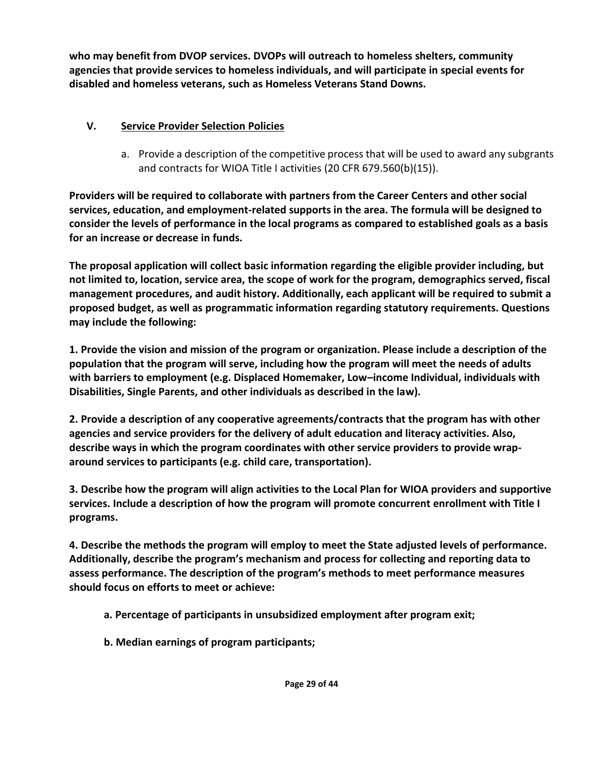**who may benefit from DVOP services. DVOPs will outreach to homeless shelters, community agencies that provide services to homeless individuals, and will participate in special events for disabled and homeless veterans, such as Homeless Veterans Stand Downs.** 

# **V. Service Provider Selection Policies**

a. Provide a description of the competitive process that will be used to award any subgrants and contracts for WIOA Title I activities (20 CFR 679.560(b)(15)).

**Providers will be required to collaborate with partners from the Career Centers and other social services, education, and employment-related supports in the area. The formula will be designed to consider the levels of performance in the local programs as compared to established goals as a basis for an increase or decrease in funds.** 

**The proposal application will collect basic information regarding the eligible provider including, but not limited to, location, service area, the scope of work for the program, demographics served, fiscal management procedures, and audit history. Additionally, each applicant will be required to submit a proposed budget, as well as programmatic information regarding statutory requirements. Questions may include the following:** 

**1. Provide the vision and mission of the program or organization. Please include a description of the population that the program will serve, including how the program will meet the needs of adults with barriers to employment (e.g. Displaced Homemaker, Low–income Individual, individuals with Disabilities, Single Parents, and other individuals as described in the law).** 

**2. Provide a description of any cooperative agreements/contracts that the program has with other agencies and service providers for the delivery of adult education and literacy activities. Also, describe ways in which the program coordinates with other service providers to provide wraparound services to participants (e.g. child care, transportation).** 

**3. Describe how the program will align activities to the Local Plan for WIOA providers and supportive services. Include a description of how the program will promote concurrent enrollment with Title I programs.** 

**4. Describe the methods the program will employ to meet the State adjusted levels of performance. Additionally, describe the program's mechanism and process for collecting and reporting data to assess performance. The description of the program's methods to meet performance measures should focus on efforts to meet or achieve:** 

- **a. Percentage of participants in unsubsidized employment after program exit;**
- **b. Median earnings of program participants;**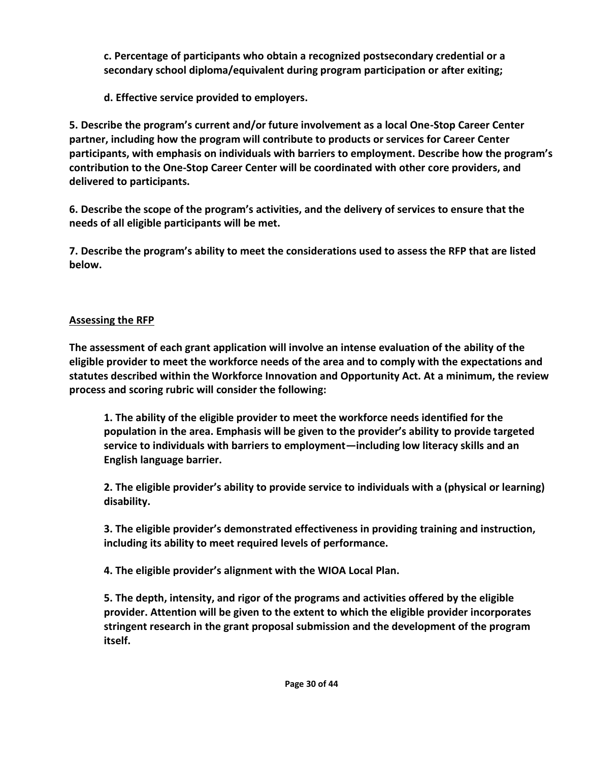**c. Percentage of participants who obtain a recognized postsecondary credential or a secondary school diploma/equivalent during program participation or after exiting;** 

**d. Effective service provided to employers.**

**5. Describe the program's current and/or future involvement as a local One-Stop Career Center partner, including how the program will contribute to products or services for Career Center participants, with emphasis on individuals with barriers to employment. Describe how the program's contribution to the One-Stop Career Center will be coordinated with other core providers, and delivered to participants.** 

**6. Describe the scope of the program's activities, and the delivery of services to ensure that the needs of all eligible participants will be met.** 

**7. Describe the program's ability to meet the considerations used to assess the RFP that are listed below.** 

# **Assessing the RFP**

**The assessment of each grant application will involve an intense evaluation of the ability of the eligible provider to meet the workforce needs of the area and to comply with the expectations and statutes described within the Workforce Innovation and Opportunity Act. At a minimum, the review process and scoring rubric will consider the following:** 

**1. The ability of the eligible provider to meet the workforce needs identified for the population in the area. Emphasis will be given to the provider's ability to provide targeted service to individuals with barriers to employment—including low literacy skills and an English language barrier.** 

**2. The eligible provider's ability to provide service to individuals with a (physical or learning) disability.** 

**3. The eligible provider's demonstrated effectiveness in providing training and instruction, including its ability to meet required levels of performance.** 

**4. The eligible provider's alignment with the WIOA Local Plan.** 

**5. The depth, intensity, and rigor of the programs and activities offered by the eligible provider. Attention will be given to the extent to which the eligible provider incorporates stringent research in the grant proposal submission and the development of the program itself.**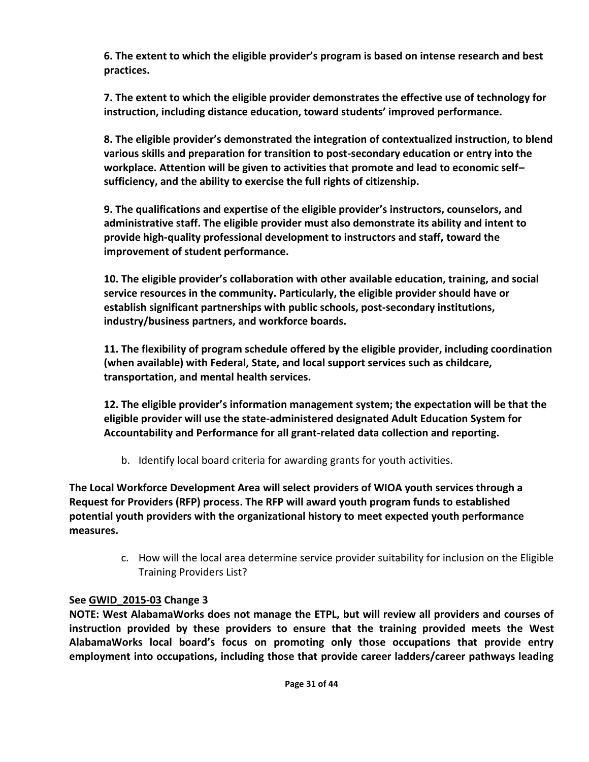**6. The extent to which the eligible provider's program is based on intense research and best practices.** 

**7. The extent to which the eligible provider demonstrates the effective use of technology for instruction, including distance education, toward students' improved performance.** 

**8. The eligible provider's demonstrated the integration of contextualized instruction, to blend various skills and preparation for transition to post-secondary education or entry into the workplace. Attention will be given to activities that promote and lead to economic self– sufficiency, and the ability to exercise the full rights of citizenship.** 

**9. The qualifications and expertise of the eligible provider's instructors, counselors, and administrative staff. The eligible provider must also demonstrate its ability and intent to provide high-quality professional development to instructors and staff, toward the improvement of student performance.** 

**10. The eligible provider's collaboration with other available education, training, and social service resources in the community. Particularly, the eligible provider should have or establish significant partnerships with public schools, post-secondary institutions, industry/business partners, and workforce boards.** 

**11. The flexibility of program schedule offered by the eligible provider, including coordination (when available) with Federal, State, and local support services such as childcare, transportation, and mental health services.** 

**12. The eligible provider's information management system; the expectation will be that the eligible provider will use the state-administered designated Adult Education System for Accountability and Performance for all grant-related data collection and reporting.** 

b. Identify local board criteria for awarding grants for youth activities.

**The Local Workforce Development Area will select providers of WIOA youth services through a Request for Providers (RFP) process. The RFP will award youth program funds to established potential youth providers with the organizational history to meet expected youth performance measures.**

> c. How will the local area determine service provider suitability for inclusion on the Eligible Training Providers List?

# **See [GWID\\_2015-03](http://www.madeinalabama.com/assets/gwd/gwid/GWID_2015-03.pdf) Change 3**

**NOTE: West AlabamaWorks does not manage the ETPL, but will review all providers and courses of instruction provided by these providers to ensure that the training provided meets the West AlabamaWorks local board's focus on promoting only those occupations that provide entry employment into occupations, including those that provide career ladders/career pathways leading**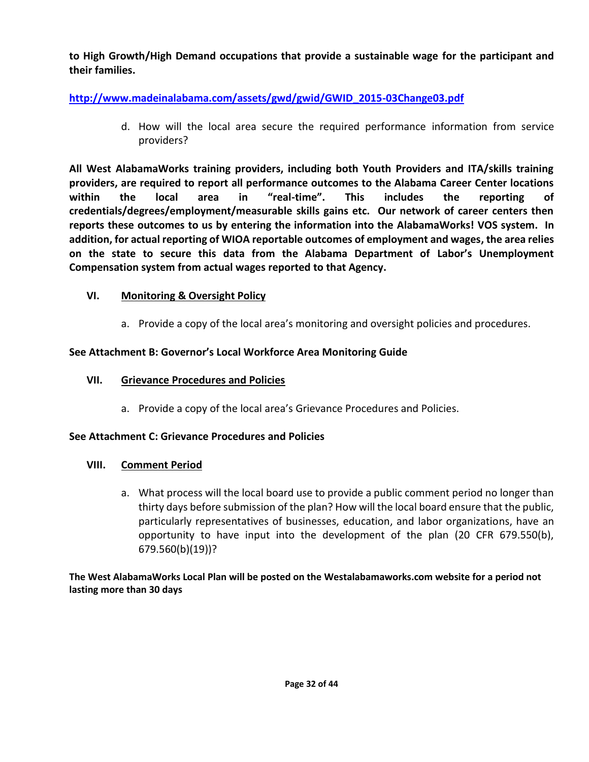**to High Growth/High Demand occupations that provide a sustainable wage for the participant and their families.** 

# **[http://www.madeinalabama.com/assets/gwd/gwid/GWID\\_2015-03Change03.pdf](http://www.madeinalabama.com/assets/gwd/gwid/GWID_2015-03Change03.pdf)**

d. How will the local area secure the required performance information from service providers?

**All West AlabamaWorks training providers, including both Youth Providers and ITA/skills training providers, are required to report all performance outcomes to the Alabama Career Center locations within the local area in "real-time". This includes the reporting of credentials/degrees/employment/measurable skills gains etc. Our network of career centers then reports these outcomes to us by entering the information into the AlabamaWorks! VOS system. In addition, for actual reporting of WIOA reportable outcomes of employment and wages, the area relies on the state to secure this data from the Alabama Department of Labor's Unemployment Compensation system from actual wages reported to that Agency.**

## **VI. Monitoring & Oversight Policy**

a. Provide a copy of the local area's monitoring and oversight policies and procedures.

## **See Attachment B: Governor's Local Workforce Area Monitoring Guide**

## **VII. Grievance Procedures and Policies**

a. Provide a copy of the local area's Grievance Procedures and Policies.

## **See Attachment C: Grievance Procedures and Policies**

## **VIII. Comment Period**

a. What process will the local board use to provide a public comment period no longer than thirty days before submission of the plan? How will the local board ensure that the public, particularly representatives of businesses, education, and labor organizations, have an opportunity to have input into the development of the plan (20 CFR 679.550(b), 679.560(b)(19))?

**The West AlabamaWorks Local Plan will be posted on the Westalabamaworks.com website for a period not lasting more than 30 days**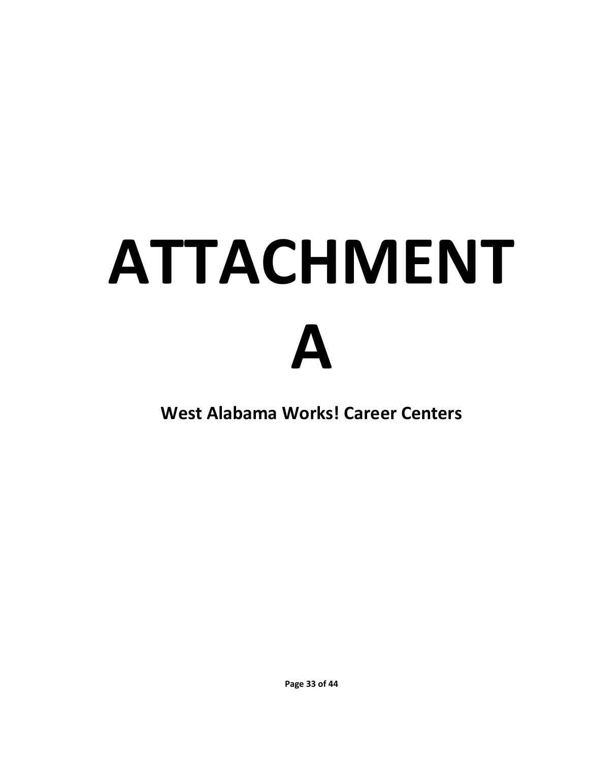# **ATTACHMENT A**

**West Alabama Works! Career Centers**

**Page 33 of 44**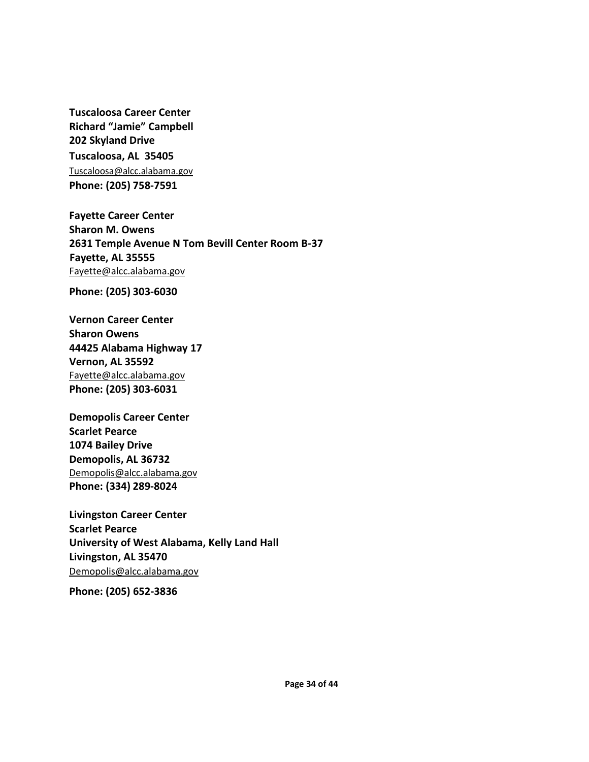**Tuscaloosa Career Center Richard "Jamie" Campbell 202 Skyland Drive Tuscaloosa, AL 35405** [Tuscaloosa@alcc.alabama.gov](mailto:Tuscaloosa@alcc.alabama.gov) **Phone: (205) 758-7591**

**Fayette Career Center Sharon M. Owens 2631 Temple Avenue N Tom Bevill Center Room B-37 Fayette, AL 35555** [Fayette@alcc.alabama.gov](mailto:Fayette@alcc.alabama.gov)

**Phone: (205) 303-6030**

**Vernon Career Center Sharon Owens 44425 Alabama Highway 17 Vernon, AL 35592** [Fayette@alcc.alabama.gov](mailto:Fayette@alcc.alabama.gov) **Phone: (205) 303-6031**

**Demopolis Career Center Scarlet Pearce 1074 Bailey Drive Demopolis, AL 36732** [Demopolis@alcc.alabama.gov](mailto:Demopolis@alcc.alabama.gov) **Phone: (334) 289-8024**

**Livingston Career Center Scarlet Pearce University of West Alabama, Kelly Land Hall Livingston, AL 35470** [Demopolis@alcc.alabama.gov](mailto:Demopolis@alcc.alabama.gov)

**Phone: (205) 652-3836**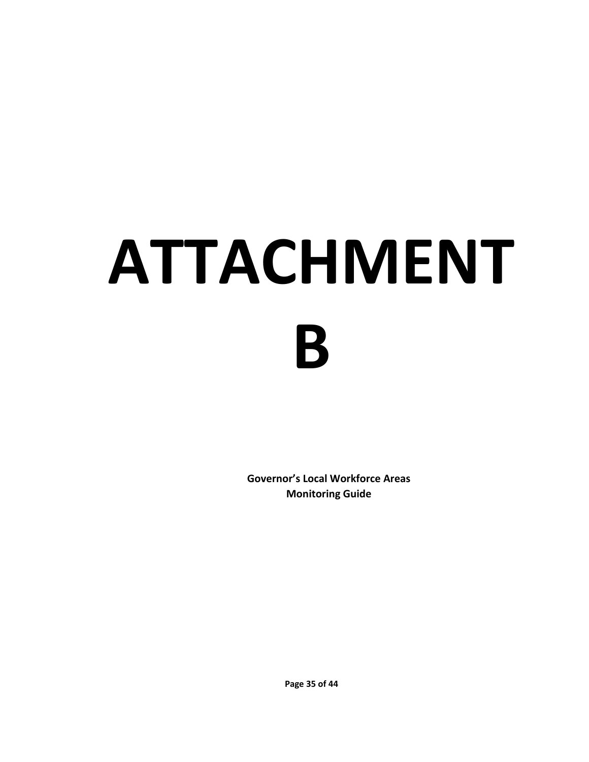# **ATTACHMENT B**

**Governor's Local Workforce Areas Monitoring Guide**

**Page 35 of 44**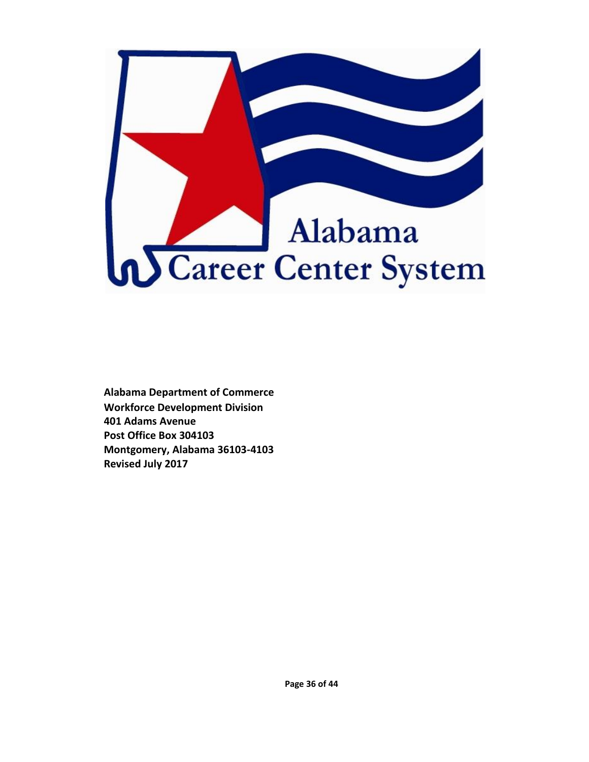

**Alabama Department of Commerce Workforce Development Division 401 Adams Avenue Post Office Box 304103 Montgomery, Alabama 36103-4103 Revised July 2017**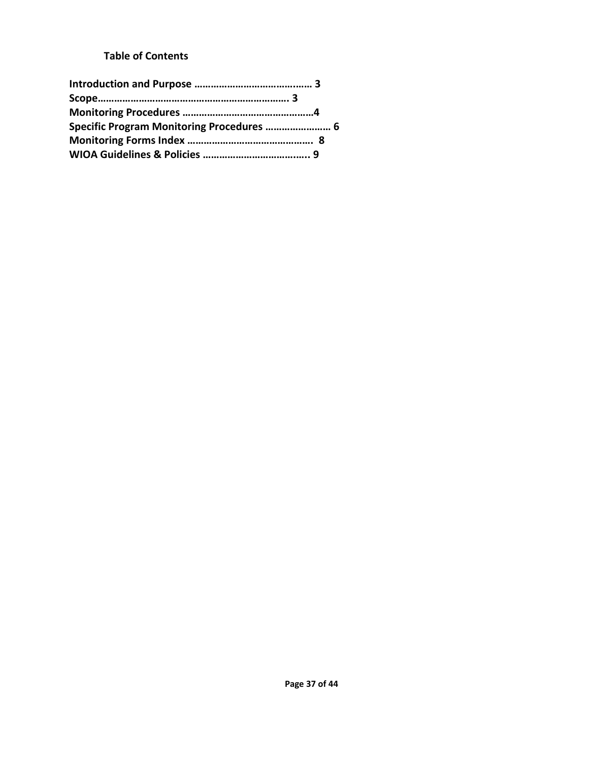# **Table of Contents**

| Specific Program Monitoring Procedures  6 |  |
|-------------------------------------------|--|
|                                           |  |
|                                           |  |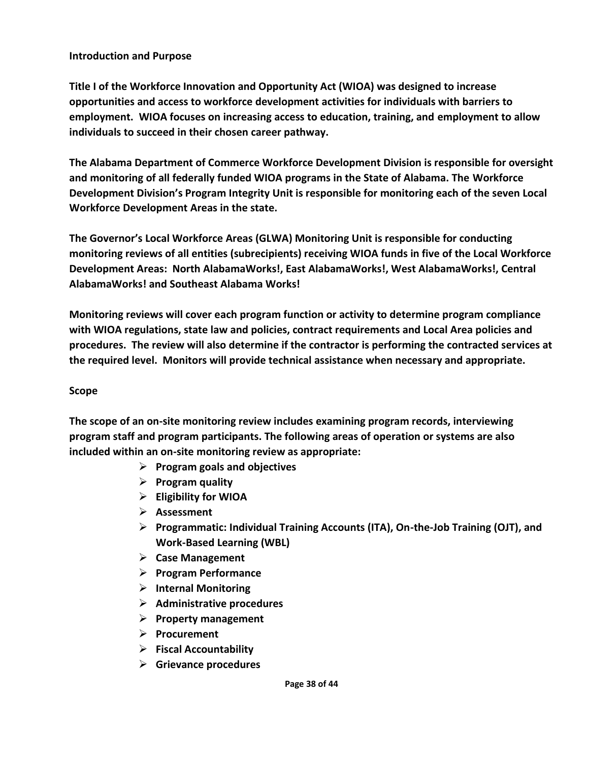#### **Introduction and Purpose**

**Title I of the Workforce Innovation and Opportunity Act (WIOA) was designed to increase opportunities and access to workforce development activities for individuals with barriers to employment. WIOA focuses on increasing access to education, training, and employment to allow individuals to succeed in their chosen career pathway.** 

**The Alabama Department of Commerce Workforce Development Division is responsible for oversight and monitoring of all federally funded WIOA programs in the State of Alabama. The Workforce Development Division's Program Integrity Unit is responsible for monitoring each of the seven Local Workforce Development Areas in the state.**

**The Governor's Local Workforce Areas (GLWA) Monitoring Unit is responsible for conducting monitoring reviews of all entities (subrecipients) receiving WIOA funds in five of the Local Workforce Development Areas: North AlabamaWorks!, East AlabamaWorks!, West AlabamaWorks!, Central AlabamaWorks! and Southeast Alabama Works!** 

**Monitoring reviews will cover each program function or activity to determine program compliance with WIOA regulations, state law and policies, contract requirements and Local Area policies and procedures. The review will also determine if the contractor is performing the contracted services at the required level. Monitors will provide technical assistance when necessary and appropriate.** 

#### **Scope**

**The scope of an on-site monitoring review includes examining program records, interviewing program staff and program participants. The following areas of operation or systems are also included within an on-site monitoring review as appropriate:** 

- ➢ **Program goals and objectives**
- ➢ **Program quality**
- ➢ **Eligibility for WIOA**
- ➢ **Assessment**
- ➢ **Programmatic: Individual Training Accounts (ITA), On-the-Job Training (OJT), and Work-Based Learning (WBL)**
- ➢ **Case Management**
- ➢ **Program Performance**
- ➢ **Internal Monitoring**
- ➢ **Administrative procedures**
- ➢ **Property management**
- ➢ **Procurement**
- ➢ **Fiscal Accountability**
- ➢ **Grievance procedures**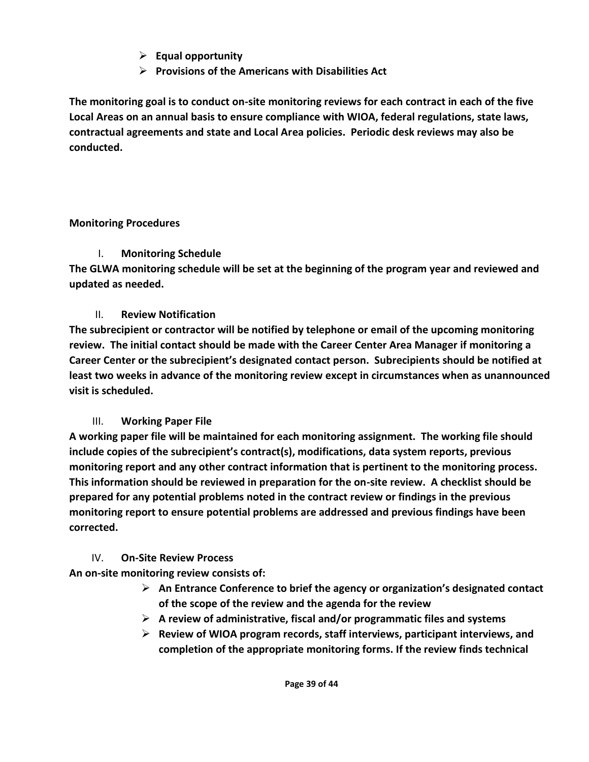- ➢ **Equal opportunity**
- ➢ **Provisions of the Americans with Disabilities Act**

**The monitoring goal is to conduct on-site monitoring reviews for each contract in each of the five Local Areas on an annual basis to ensure compliance with WIOA, federal regulations, state laws, contractual agreements and state and Local Area policies. Periodic desk reviews may also be conducted.**

## **Monitoring Procedures**

# I. **Monitoring Schedule**

**The GLWA monitoring schedule will be set at the beginning of the program year and reviewed and updated as needed.** 

# II. **Review Notification**

**The subrecipient or contractor will be notified by telephone or email of the upcoming monitoring review. The initial contact should be made with the Career Center Area Manager if monitoring a Career Center or the subrecipient's designated contact person. Subrecipients should be notified at least two weeks in advance of the monitoring review except in circumstances when as unannounced visit is scheduled.**

# III. **Working Paper File**

**A working paper file will be maintained for each monitoring assignment. The working file should include copies of the subrecipient's contract(s), modifications, data system reports, previous monitoring report and any other contract information that is pertinent to the monitoring process. This information should be reviewed in preparation for the on-site review. A checklist should be prepared for any potential problems noted in the contract review or findings in the previous monitoring report to ensure potential problems are addressed and previous findings have been corrected.** 

# IV. **On-Site Review Process**

**An on-site monitoring review consists of:**

- ➢ **An Entrance Conference to brief the agency or organization's designated contact of the scope of the review and the agenda for the review**
- ➢ **A review of administrative, fiscal and/or programmatic files and systems**
- ➢ **Review of WIOA program records, staff interviews, participant interviews, and completion of the appropriate monitoring forms. If the review finds technical**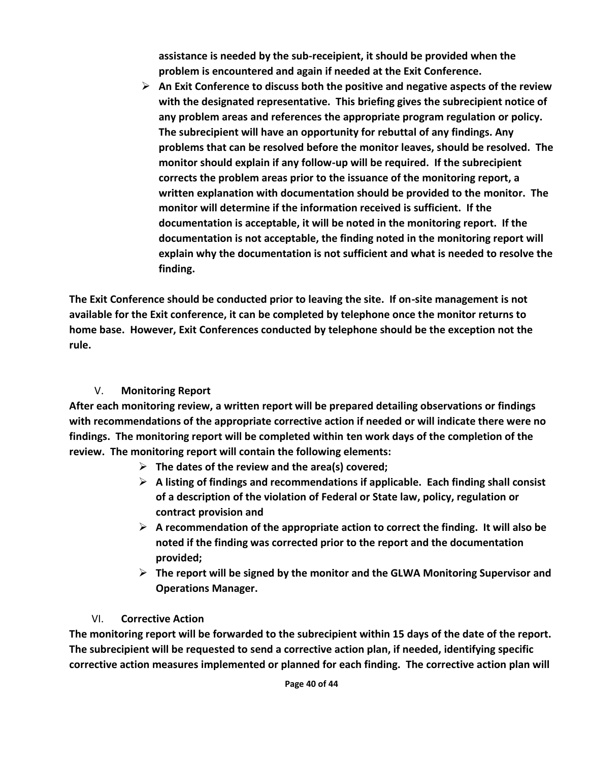**assistance is needed by the sub-receipient, it should be provided when the problem is encountered and again if needed at the Exit Conference.** 

➢ **An Exit Conference to discuss both the positive and negative aspects of the review with the designated representative. This briefing gives the subrecipient notice of any problem areas and references the appropriate program regulation or policy. The subrecipient will have an opportunity for rebuttal of any findings. Any problems that can be resolved before the monitor leaves, should be resolved. The monitor should explain if any follow-up will be required. If the subrecipient corrects the problem areas prior to the issuance of the monitoring report, a written explanation with documentation should be provided to the monitor. The monitor will determine if the information received is sufficient. If the documentation is acceptable, it will be noted in the monitoring report. If the documentation is not acceptable, the finding noted in the monitoring report will explain why the documentation is not sufficient and what is needed to resolve the finding.**

**The Exit Conference should be conducted prior to leaving the site. If on-site management is not available for the Exit conference, it can be completed by telephone once the monitor returns to home base. However, Exit Conferences conducted by telephone should be the exception not the rule.** 

# V. **Monitoring Report**

**After each monitoring review, a written report will be prepared detailing observations or findings with recommendations of the appropriate corrective action if needed or will indicate there were no findings. The monitoring report will be completed within ten work days of the completion of the review. The monitoring report will contain the following elements:**

- ➢ **The dates of the review and the area(s) covered;**
- ➢ **A listing of findings and recommendations if applicable. Each finding shall consist of a description of the violation of Federal or State law, policy, regulation or contract provision and**
- ➢ **A recommendation of the appropriate action to correct the finding. It will also be noted if the finding was corrected prior to the report and the documentation provided;**
- ➢ **The report will be signed by the monitor and the GLWA Monitoring Supervisor and Operations Manager.**

# VI. **Corrective Action**

**The monitoring report will be forwarded to the subrecipient within 15 days of the date of the report. The subrecipient will be requested to send a corrective action plan, if needed, identifying specific corrective action measures implemented or planned for each finding. The corrective action plan will**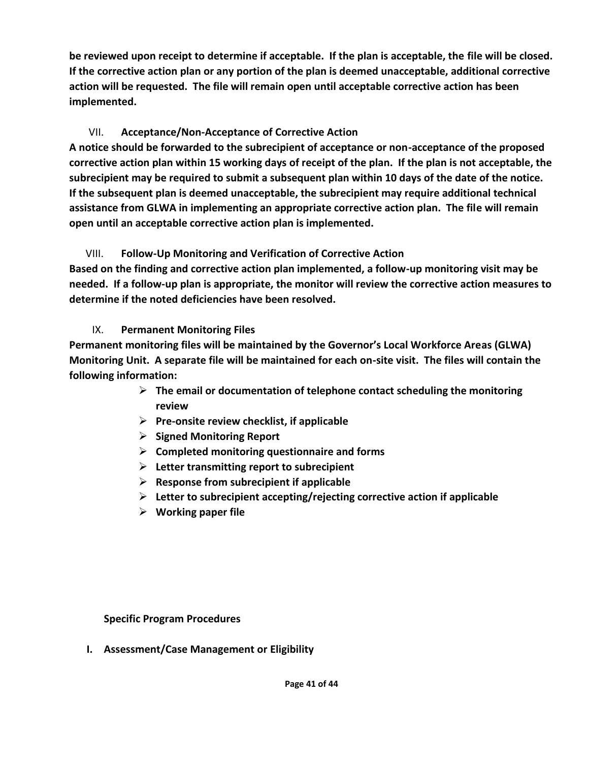**be reviewed upon receipt to determine if acceptable. If the plan is acceptable, the file will be closed. If the corrective action plan or any portion of the plan is deemed unacceptable, additional corrective action will be requested. The file will remain open until acceptable corrective action has been implemented.**

# VII. **Acceptance/Non-Acceptance of Corrective Action**

**A notice should be forwarded to the subrecipient of acceptance or non-acceptance of the proposed corrective action plan within 15 working days of receipt of the plan. If the plan is not acceptable, the subrecipient may be required to submit a subsequent plan within 10 days of the date of the notice. If the subsequent plan is deemed unacceptable, the subrecipient may require additional technical assistance from GLWA in implementing an appropriate corrective action plan. The file will remain open until an acceptable corrective action plan is implemented.**

# VIII. **Follow-Up Monitoring and Verification of Corrective Action**

**Based on the finding and corrective action plan implemented, a follow-up monitoring visit may be needed. If a follow-up plan is appropriate, the monitor will review the corrective action measures to determine if the noted deficiencies have been resolved.**

# IX. **Permanent Monitoring Files**

**Permanent monitoring files will be maintained by the Governor's Local Workforce Areas (GLWA) Monitoring Unit. A separate file will be maintained for each on-site visit. The files will contain the following information:**

- ➢ **The email or documentation of telephone contact scheduling the monitoring review**
- ➢ **Pre-onsite review checklist, if applicable**
- ➢ **Signed Monitoring Report**
- ➢ **Completed monitoring questionnaire and forms**
- ➢ **Letter transmitting report to subrecipient**
- ➢ **Response from subrecipient if applicable**
- ➢ **Letter to subrecipient accepting/rejecting corrective action if applicable**
- ➢ **Working paper file**

**Specific Program Procedures** 

**I. Assessment/Case Management or Eligibility**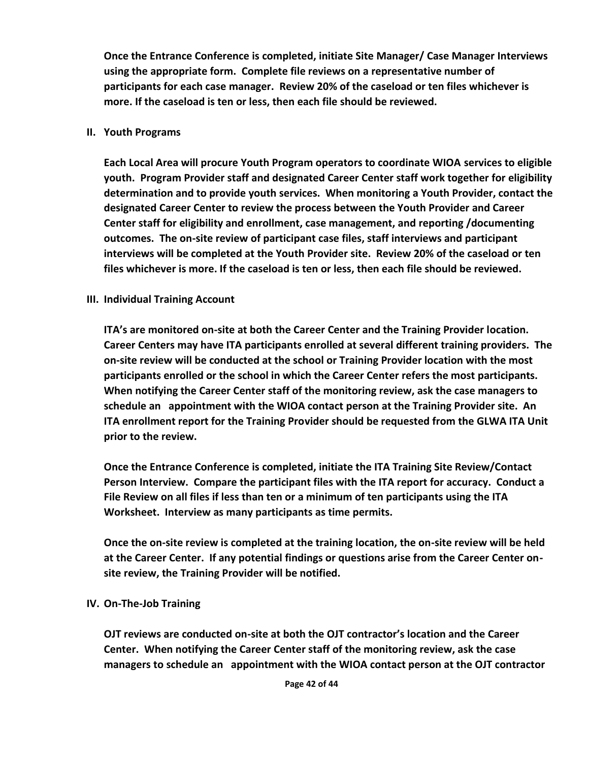**Once the Entrance Conference is completed, initiate Site Manager/ Case Manager Interviews using the appropriate form. Complete file reviews on a representative number of participants for each case manager. Review 20% of the caseload or ten files whichever is more. If the caseload is ten or less, then each file should be reviewed.**

#### **II. Youth Programs**

**Each Local Area will procure Youth Program operators to coordinate WIOA services to eligible youth. Program Provider staff and designated Career Center staff work together for eligibility determination and to provide youth services. When monitoring a Youth Provider, contact the designated Career Center to review the process between the Youth Provider and Career Center staff for eligibility and enrollment, case management, and reporting /documenting outcomes. The on-site review of participant case files, staff interviews and participant interviews will be completed at the Youth Provider site. Review 20% of the caseload or ten files whichever is more. If the caseload is ten or less, then each file should be reviewed.**

## **III. Individual Training Account**

**ITA's are monitored on-site at both the Career Center and the Training Provider location. Career Centers may have ITA participants enrolled at several different training providers. The on-site review will be conducted at the school or Training Provider location with the most participants enrolled or the school in which the Career Center refers the most participants. When notifying the Career Center staff of the monitoring review, ask the case managers to schedule an appointment with the WIOA contact person at the Training Provider site. An ITA enrollment report for the Training Provider should be requested from the GLWA ITA Unit prior to the review.**

**Once the Entrance Conference is completed, initiate the ITA Training Site Review/Contact Person Interview. Compare the participant files with the ITA report for accuracy. Conduct a File Review on all files if less than ten or a minimum of ten participants using the ITA Worksheet. Interview as many participants as time permits.** 

**Once the on-site review is completed at the training location, the on-site review will be held at the Career Center. If any potential findings or questions arise from the Career Center onsite review, the Training Provider will be notified.**

## **IV. On-The-Job Training**

**OJT reviews are conducted on-site at both the OJT contractor's location and the Career Center. When notifying the Career Center staff of the monitoring review, ask the case managers to schedule an appointment with the WIOA contact person at the OJT contractor**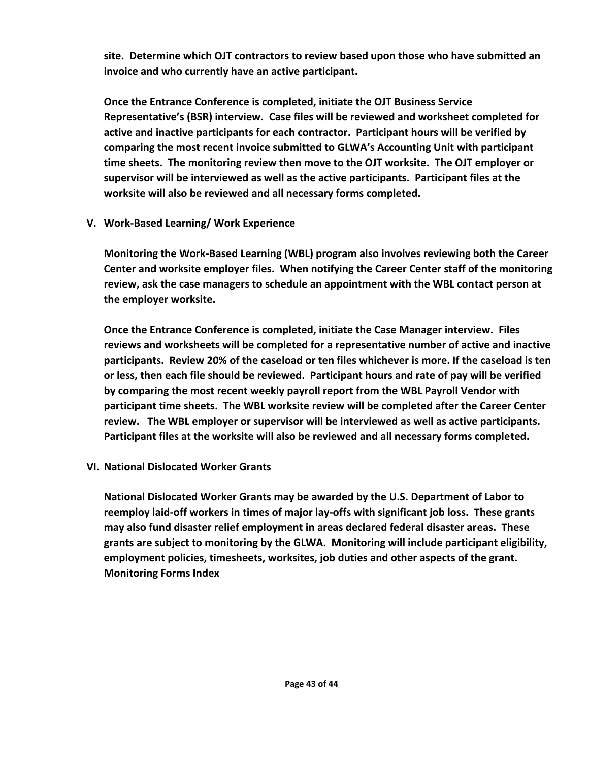**site. Determine which OJT contractors to review based upon those who have submitted an invoice and who currently have an active participant.** 

**Once the Entrance Conference is completed, initiate the OJT Business Service Representative's (BSR) interview. Case files will be reviewed and worksheet completed for active and inactive participants for each contractor. Participant hours will be verified by comparing the most recent invoice submitted to GLWA's Accounting Unit with participant time sheets. The monitoring review then move to the OJT worksite. The OJT employer or supervisor will be interviewed as well as the active participants. Participant files at the worksite will also be reviewed and all necessary forms completed.**

**V. Work-Based Learning/ Work Experience**

**Monitoring the Work-Based Learning (WBL) program also involves reviewing both the Career Center and worksite employer files. When notifying the Career Center staff of the monitoring review, ask the case managers to schedule an appointment with the WBL contact person at the employer worksite.** 

**Once the Entrance Conference is completed, initiate the Case Manager interview. Files reviews and worksheets will be completed for a representative number of active and inactive participants. Review 20% of the caseload or ten files whichever is more. If the caseload is ten or less, then each file should be reviewed. Participant hours and rate of pay will be verified by comparing the most recent weekly payroll report from the WBL Payroll Vendor with participant time sheets. The WBL worksite review will be completed after the Career Center review. The WBL employer or supervisor will be interviewed as well as active participants. Participant files at the worksite will also be reviewed and all necessary forms completed.**

**VI. National Dislocated Worker Grants**

**National Dislocated Worker Grants may be awarded by the U.S. Department of Labor to reemploy laid-off workers in times of major lay-offs with significant job loss. These grants may also fund disaster relief employment in areas declared federal disaster areas. These grants are subject to monitoring by the GLWA. Monitoring will include participant eligibility, employment policies, timesheets, worksites, job duties and other aspects of the grant. Monitoring Forms Index**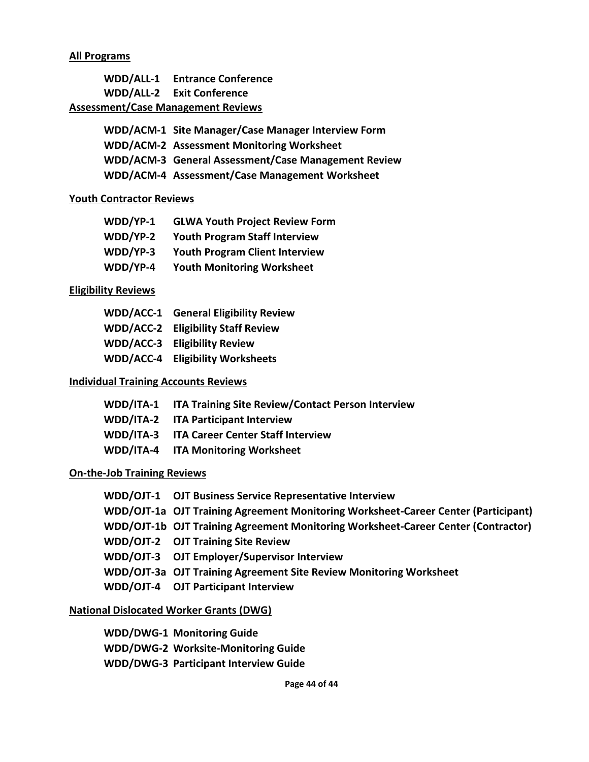#### **All Programs**

|                                           | <b>WDD/ALL-1</b> Entrance Conference |
|-------------------------------------------|--------------------------------------|
|                                           | WDD/ALL-2 Exit Conference            |
| <b>Assessment/Case Management Reviews</b> |                                      |
|                                           |                                      |

| WDD/ACM-1 Site Manager/Case Manager Interview Form  |
|-----------------------------------------------------|
| <b>WDD/ACM-2 Assessment Monitoring Worksheet</b>    |
| WDD/ACM-3 General Assessment/Case Management Review |
| WDD/ACM-4 Assessment/Case Management Worksheet      |

#### **Youth Contractor Reviews**

| WDD/YP-1 | <b>GLWA Youth Project Review Form</b> |
|----------|---------------------------------------|
| WDD/YP-2 | <b>Youth Program Staff Interview</b>  |
| WDD/YP-3 | <b>Youth Program Client Interview</b> |
| WDD/YP-4 | <b>Youth Monitoring Worksheet</b>     |

#### **Eligibility Reviews**

|                  | <b>WDD/ACC-1</b> General Eligibility Review |
|------------------|---------------------------------------------|
|                  | <b>WDD/ACC-2</b> Eligibility Staff Review   |
| WDD/ACC-3        | <b>Eligibility Review</b>                   |
| <b>WDD/ACC-4</b> | <b>Eligibility Worksheets</b>               |

#### **Individual Training Accounts Reviews**

| WDD/ITA-1 ITA Training Site Review/Contact Person Interview |
|-------------------------------------------------------------|
| WDD/ITA-2 ITA Participant Interview                         |
| WDD/ITA-3 ITA Career Center Staff Interview                 |
| <b>WDD/ITA-4 ITA Monitoring Worksheet</b>                   |

# **On-the-Job Training Reviews**

| WDD/OJT-1 OJT Business Service Representative Interview                            |
|------------------------------------------------------------------------------------|
| WDD/OJT-1a OJT Training Agreement Monitoring Worksheet-Career Center (Participant) |
| WDD/OJT-1b OJT Training Agreement Monitoring Worksheet-Career Center (Contractor)  |
| <b>WDD/OJT-2 OJT Training Site Review</b>                                          |
| WDD/OJT-3 OJT Employer/Supervisor Interview                                        |
| WDD/OJT-3a OJT Training Agreement Site Review Monitoring Worksheet                 |
| WDD/OJT-4 OJT Participant Interview                                                |
|                                                                                    |

## **National Dislocated Worker Grants (DWG)**

| <b>WDD/DWG-1 Monitoring Guide</b>            |
|----------------------------------------------|
| <b>WDD/DWG-2 Worksite-Monitoring Guide</b>   |
| <b>WDD/DWG-3 Participant Interview Guide</b> |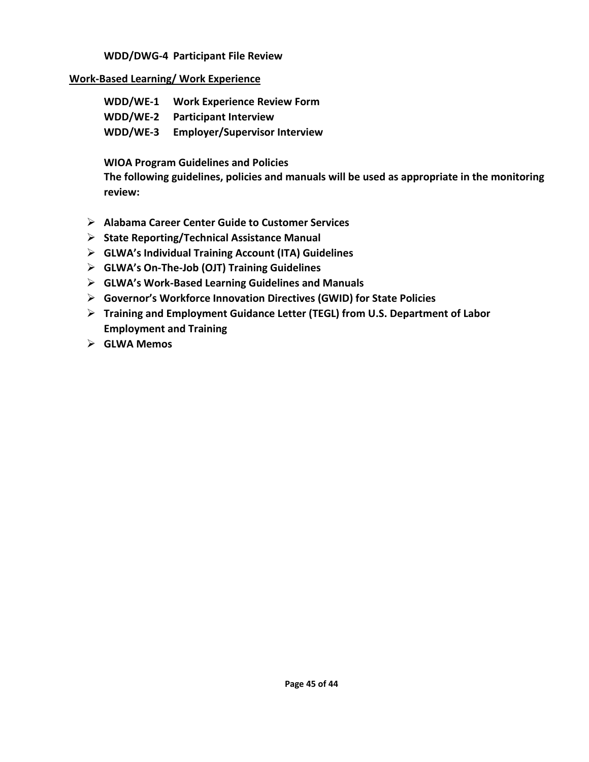#### **WDD/DWG-4 Participant File Review**

#### **Work-Based Learning/ Work Experience**

| WDD/WE-1 | <b>Work Experience Review Form</b>   |
|----------|--------------------------------------|
| WDD/WE-2 | <b>Participant Interview</b>         |
| WDD/WE-3 | <b>Employer/Supervisor Interview</b> |

#### **WIOA Program Guidelines and Policies**

**The following guidelines, policies and manuals will be used as appropriate in the monitoring review:**

- ➢ **Alabama Career Center Guide to Customer Services**
- ➢ **State Reporting/Technical Assistance Manual**
- ➢ **GLWA's Individual Training Account (ITA) Guidelines**
- ➢ **GLWA's On-The-Job (OJT) Training Guidelines**
- ➢ **GLWA's Work-Based Learning Guidelines and Manuals**
- ➢ **Governor's Workforce Innovation Directives (GWID) for State Policies**
- ➢ **Training and Employment Guidance Letter (TEGL) from U.S. Department of Labor Employment and Training**
- ➢ **GLWA Memos**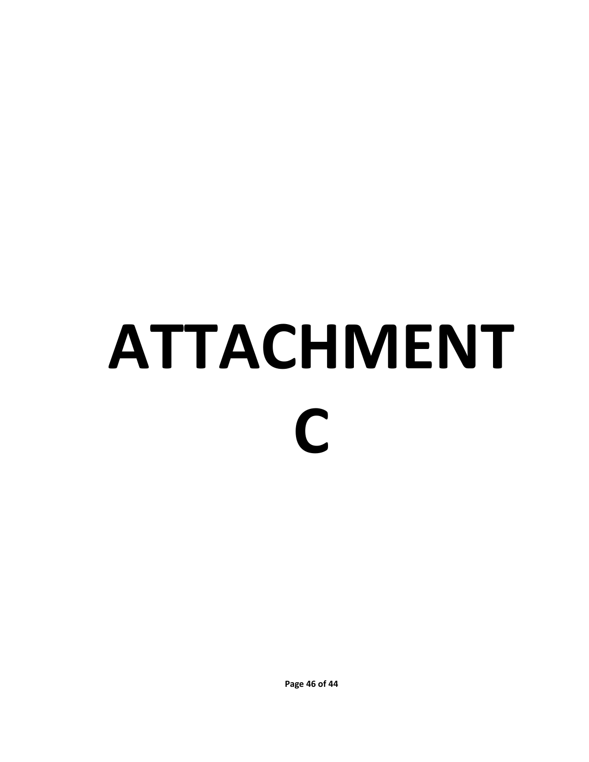# **ATTACHMENT C**

**Page 46 of 44**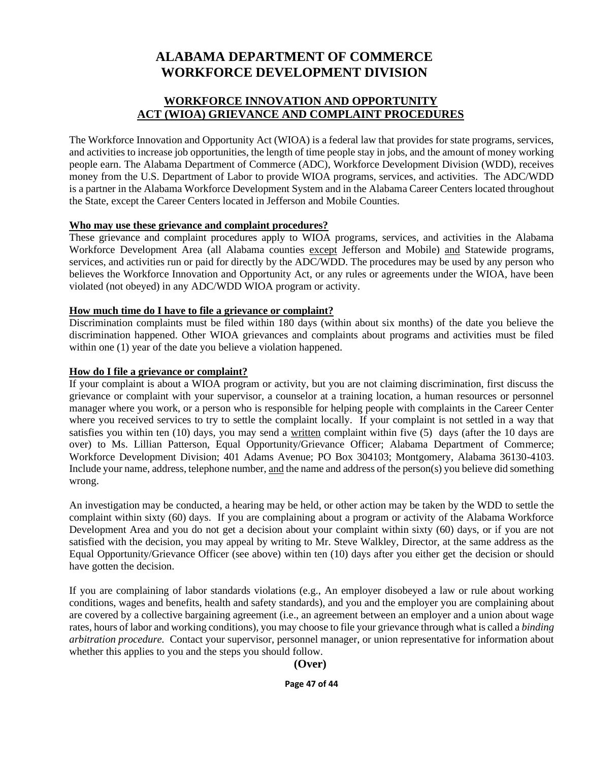# **ALABAMA DEPARTMENT OF COMMERCE WORKFORCE DEVELOPMENT DIVISION**

## **WORKFORCE INNOVATION AND OPPORTUNITY ACT (WIOA) GRIEVANCE AND COMPLAINT PROCEDURES**

The Workforce Innovation and Opportunity Act (WIOA) is a federal law that provides for state programs, services, and activities to increase job opportunities, the length of time people stay in jobs, and the amount of money working people earn. The Alabama Department of Commerce (ADC), Workforce Development Division (WDD), receives money from the U.S. Department of Labor to provide WIOA programs, services, and activities. The ADC/WDD is a partner in the Alabama Workforce Development System and in the Alabama Career Centers located throughout the State, except the Career Centers located in Jefferson and Mobile Counties.

#### **Who may use these grievance and complaint procedures?**

These grievance and complaint procedures apply to WIOA programs, services, and activities in the Alabama Workforce Development Area (all Alabama counties except Jefferson and Mobile) and Statewide programs, services, and activities run or paid for directly by the ADC/WDD. The procedures may be used by any person who believes the Workforce Innovation and Opportunity Act, or any rules or agreements under the WIOA, have been violated (not obeyed) in any ADC/WDD WIOA program or activity.

#### **How much time do I have to file a grievance or complaint?**

Discrimination complaints must be filed within 180 days (within about six months) of the date you believe the discrimination happened. Other WIOA grievances and complaints about programs and activities must be filed within one (1) year of the date you believe a violation happened.

#### **How do I file a grievance or complaint?**

If your complaint is about a WIOA program or activity, but you are not claiming discrimination, first discuss the grievance or complaint with your supervisor, a counselor at a training location, a human resources or personnel manager where you work, or a person who is responsible for helping people with complaints in the Career Center where you received services to try to settle the complaint locally. If your complaint is not settled in a way that satisfies you within ten (10) days, you may send a written complaint within five (5) days (after the 10 days are over) to Ms. Lillian Patterson, Equal Opportunity/Grievance Officer; Alabama Department of Commerce; Workforce Development Division; 401 Adams Avenue; PO Box 304103; Montgomery, Alabama 36130-4103. Include your name, address, telephone number, and the name and address of the person(s) you believe did something wrong.

An investigation may be conducted, a hearing may be held, or other action may be taken by the WDD to settle the complaint within sixty (60) days. If you are complaining about a program or activity of the Alabama Workforce Development Area and you do not get a decision about your complaint within sixty (60) days, or if you are not satisfied with the decision, you may appeal by writing to Mr. Steve Walkley, Director, at the same address as the Equal Opportunity/Grievance Officer (see above) within ten (10) days after you either get the decision or should have gotten the decision.

If you are complaining of labor standards violations (e.g., An employer disobeyed a law or rule about working conditions, wages and benefits, health and safety standards), and you and the employer you are complaining about are covered by a collective bargaining agreement (i.e., an agreement between an employer and a union about wage rates, hours of labor and working conditions), you may choose to file your grievance through what is called a *binding arbitration procedure.* Contact your supervisor, personnel manager, or union representative for information about whether this applies to you and the steps you should follow.

#### **(Over)**

#### **Page 47 of 44**